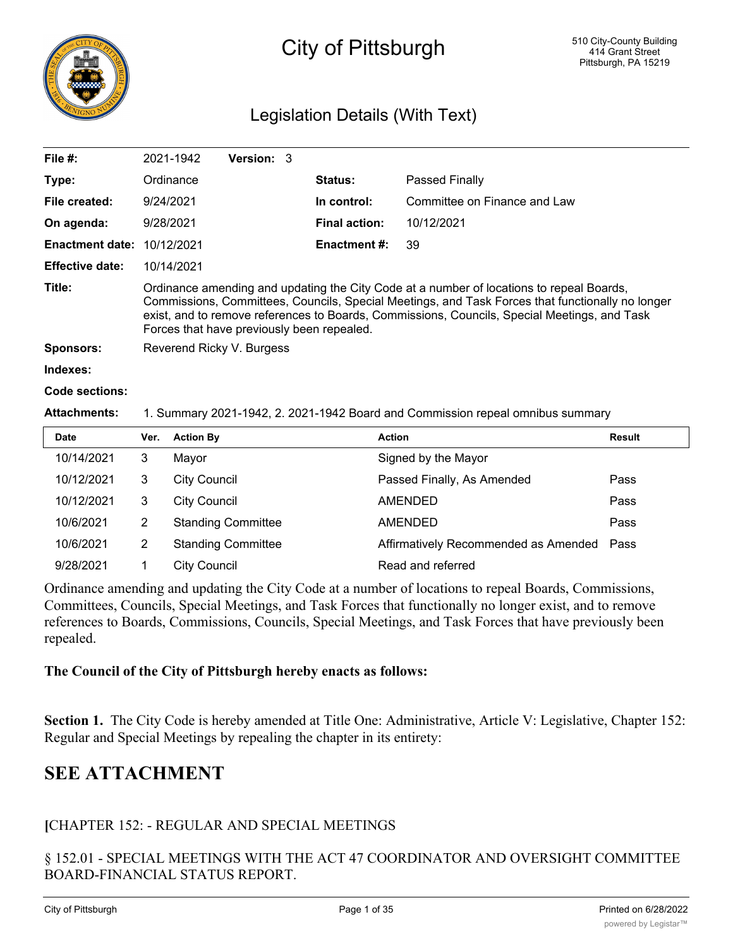

# City of Pittsburgh

# Legislation Details (With Text)

| File $#$ :                        | 2021-1942                                                                                                                                                                                                                                                                                                                                  | <b>Version: 3</b> |  |                      |                              |
|-----------------------------------|--------------------------------------------------------------------------------------------------------------------------------------------------------------------------------------------------------------------------------------------------------------------------------------------------------------------------------------------|-------------------|--|----------------------|------------------------------|
| Type:                             | Ordinance                                                                                                                                                                                                                                                                                                                                  |                   |  | <b>Status:</b>       | Passed Finally               |
| File created:                     | 9/24/2021                                                                                                                                                                                                                                                                                                                                  |                   |  | In control:          | Committee on Finance and Law |
| On agenda:                        | 9/28/2021                                                                                                                                                                                                                                                                                                                                  |                   |  | <b>Final action:</b> | 10/12/2021                   |
| <b>Enactment date: 10/12/2021</b> |                                                                                                                                                                                                                                                                                                                                            |                   |  | Enactment #:         | 39                           |
| <b>Effective date:</b>            | 10/14/2021                                                                                                                                                                                                                                                                                                                                 |                   |  |                      |                              |
| Title:                            | Ordinance amending and updating the City Code at a number of locations to repeal Boards,<br>Commissions, Committees, Councils, Special Meetings, and Task Forces that functionally no longer<br>exist, and to remove references to Boards, Commissions, Councils, Special Meetings, and Task<br>Forces that have previously been repealed. |                   |  |                      |                              |
| <b>Sponsors:</b>                  | Reverend Ricky V. Burgess                                                                                                                                                                                                                                                                                                                  |                   |  |                      |                              |
| Indexes:                          |                                                                                                                                                                                                                                                                                                                                            |                   |  |                      |                              |
|                                   |                                                                                                                                                                                                                                                                                                                                            |                   |  |                      |                              |

# **Code sections:**

**Attachments:** 1. Summary 2021-1942, 2. 2021-1942 Board and Commission repeal omnibus summary

| <b>Date</b> | Ver. | <b>Action By</b>          | <b>Action</b>                        | <b>Result</b> |
|-------------|------|---------------------------|--------------------------------------|---------------|
| 10/14/2021  | 3    | Mayor                     | Signed by the Mayor                  |               |
| 10/12/2021  | 3    | <b>City Council</b>       | Passed Finally, As Amended           | Pass          |
| 10/12/2021  | 3    | <b>City Council</b>       | AMENDED                              | Pass          |
| 10/6/2021   |      | <b>Standing Committee</b> | AMENDED                              | Pass          |
| 10/6/2021   | 2    | <b>Standing Committee</b> | Affirmatively Recommended as Amended | Pass          |
| 9/28/2021   |      | <b>City Council</b>       | Read and referred                    |               |

Ordinance amending and updating the City Code at a number of locations to repeal Boards, Commissions, Committees, Councils, Special Meetings, and Task Forces that functionally no longer exist, and to remove references to Boards, Commissions, Councils, Special Meetings, and Task Forces that have previously been repealed.

#### **The Council of the City of Pittsburgh hereby enacts as follows:**

**Section 1.** The City Code is hereby amended at Title One: Administrative, Article V: Legislative, Chapter 152: Regular and Special Meetings by repealing the chapter in its entirety:

# **SEE ATTACHMENT**

#### **[**CHAPTER 152: - REGULAR AND SPECIAL MEETINGS

#### § 152.01 - SPECIAL MEETINGS WITH THE ACT 47 COORDINATOR AND OVERSIGHT COMMITTEE BOARD-FINANCIAL STATUS REPORT.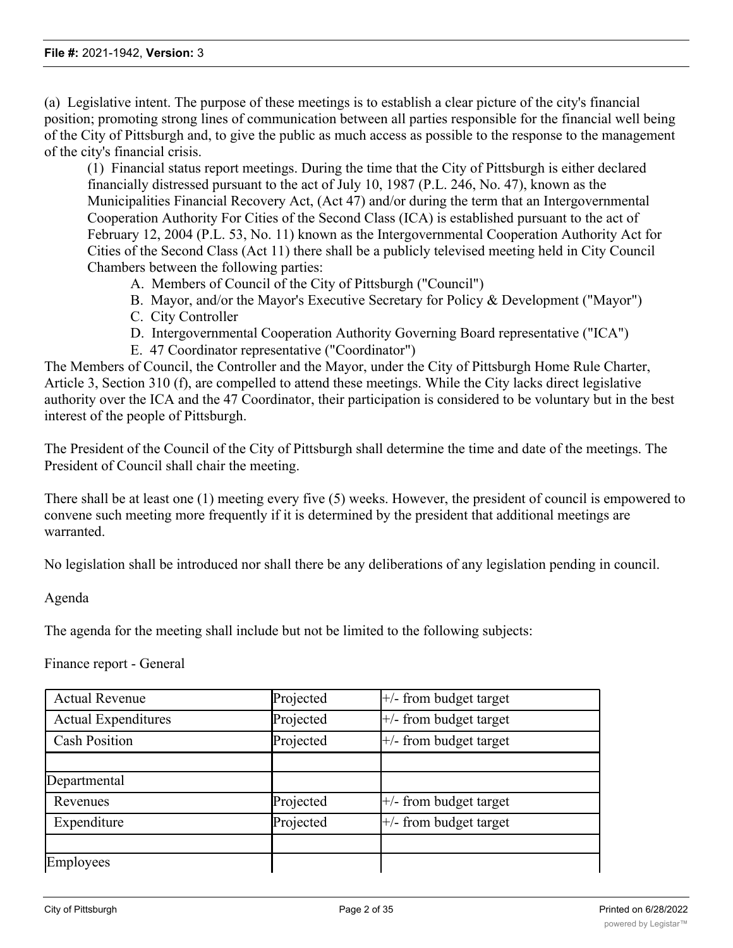(a) Legislative intent. The purpose of these meetings is to establish a clear picture of the city's financial position; promoting strong lines of communication between all parties responsible for the financial well being of the City of Pittsburgh and, to give the public as much access as possible to the response to the management of the city's financial crisis.

(1) Financial status report meetings. During the time that the City of Pittsburgh is either declared financially distressed pursuant to the act of July 10, 1987 (P.L. 246, No. 47), known as the Municipalities Financial Recovery Act, (Act 47) and/or during the term that an Intergovernmental Cooperation Authority For Cities of the Second Class (ICA) is established pursuant to the act of February 12, 2004 (P.L. 53, No. 11) known as the Intergovernmental Cooperation Authority Act for Cities of the Second Class (Act 11) there shall be a publicly televised meeting held in City Council Chambers between the following parties:

- A. Members of Council of the City of Pittsburgh ("Council")
- B. Mayor, and/or the Mayor's Executive Secretary for Policy & Development ("Mayor")
- C. City Controller
- D. Intergovernmental Cooperation Authority Governing Board representative ("ICA")
- E. 47 Coordinator representative ("Coordinator")

The Members of Council, the Controller and the Mayor, under the City of Pittsburgh Home Rule Charter, Article 3, Section 310 (f), are compelled to attend these meetings. While the City lacks direct legislative authority over the ICA and the 47 Coordinator, their participation is considered to be voluntary but in the best interest of the people of Pittsburgh.

The President of the Council of the City of Pittsburgh shall determine the time and date of the meetings. The President of Council shall chair the meeting.

There shall be at least one (1) meeting every five (5) weeks. However, the president of council is empowered to convene such meeting more frequently if it is determined by the president that additional meetings are warranted.

No legislation shall be introduced nor shall there be any deliberations of any legislation pending in council.

#### Agenda

The agenda for the meeting shall include but not be limited to the following subjects:

Finance report - General

| <b>Actual Revenue</b>      | Projected | $\pm$ /- from budget target |
|----------------------------|-----------|-----------------------------|
| <b>Actual Expenditures</b> | Projected | $\pm$ /- from budget target |
| <b>Cash Position</b>       | Projected | $+/-$ from budget target    |
|                            |           |                             |
| Departmental               |           |                             |
| Revenues                   | Projected | $\pm$ /- from budget target |
| Expenditure                | Projected | $\pm$ /- from budget target |
|                            |           |                             |
| Employees                  |           |                             |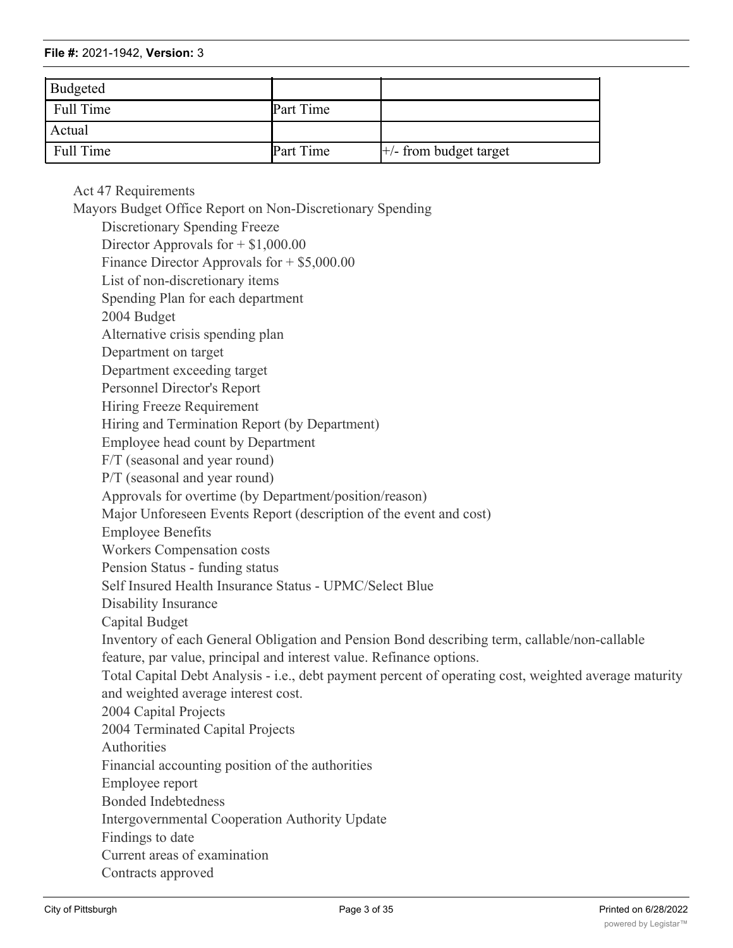| Budgeted  |           |                          |
|-----------|-----------|--------------------------|
| Full Time | Part Time |                          |
| Actual    |           |                          |
| Full Time | Part Time | $+/-$ from budget target |

Act 47 Requirements

Mayors Budget Office Report on Non-Discretionary Spending

Discretionary Spending Freeze Director Approvals for  $+$  \$1,000.00 Finance Director Approvals for + \$5,000.00 List of non-discretionary items Spending Plan for each department 2004 Budget Alternative crisis spending plan Department on target Department exceeding target Personnel Director's Report Hiring Freeze Requirement Hiring and Termination Report (by Department) Employee head count by Department F/T (seasonal and year round) P/T (seasonal and year round) Approvals for overtime (by Department/position/reason) Major Unforeseen Events Report (description of the event and cost) Employee Benefits Workers Compensation costs Pension Status - funding status Self Insured Health Insurance Status - UPMC/Select Blue Disability Insurance Capital Budget Inventory of each General Obligation and Pension Bond describing term, callable/non-callable feature, par value, principal and interest value. Refinance options. Total Capital Debt Analysis - i.e., debt payment percent of operating cost, weighted average maturity and weighted average interest cost. 2004 Capital Projects 2004 Terminated Capital Projects Authorities Financial accounting position of the authorities Employee report Bonded Indebtedness Intergovernmental Cooperation Authority Update Findings to date Current areas of examination Contracts approved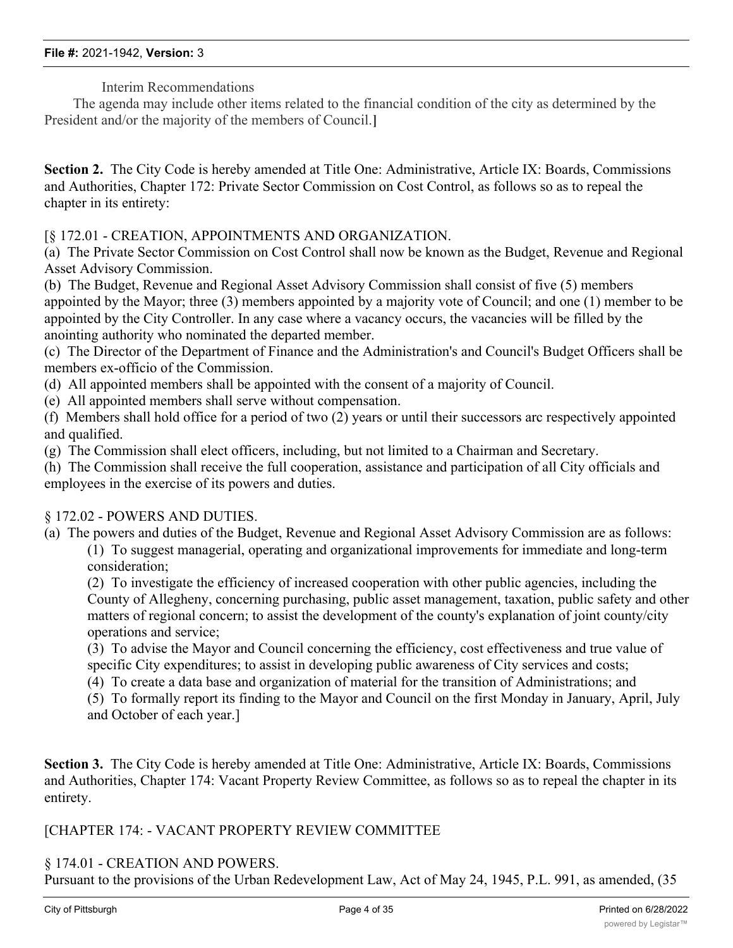Interim Recommendations

The agenda may include other items related to the financial condition of the city as determined by the President and/or the majority of the members of Council.**]**

**Section 2.** The City Code is hereby amended at Title One: Administrative, Article IX: Boards, Commissions and Authorities, Chapter 172: Private Sector Commission on Cost Control, as follows so as to repeal the chapter in its entirety:

[§ 172.01 - CREATION, APPOINTMENTS AND ORGANIZATION.

(a) The Private Sector Commission on Cost Control shall now be known as the Budget, Revenue and Regional Asset Advisory Commission.

(b) The Budget, Revenue and Regional Asset Advisory Commission shall consist of five (5) members appointed by the Mayor; three (3) members appointed by a majority vote of Council; and one (1) member to be appointed by the City Controller. In any case where a vacancy occurs, the vacancies will be filled by the anointing authority who nominated the departed member.

(c) The Director of the Department of Finance and the Administration's and Council's Budget Officers shall be members ex-officio of the Commission.

- (d) All appointed members shall be appointed with the consent of a majority of Council.
- (e) All appointed members shall serve without compensation.

(f) Members shall hold office for a period of two (2) years or until their successors arc respectively appointed and qualified.

- (g) The Commission shall elect officers, including, but not limited to a Chairman and Secretary.
- (h) The Commission shall receive the full cooperation, assistance and participation of all City officials and employees in the exercise of its powers and duties.

#### § 172.02 - POWERS AND DUTIES.

- (a) The powers and duties of the Budget, Revenue and Regional Asset Advisory Commission are as follows:
	- (1) To suggest managerial, operating and organizational improvements for immediate and long-term consideration;

(2) To investigate the efficiency of increased cooperation with other public agencies, including the County of Allegheny, concerning purchasing, public asset management, taxation, public safety and other matters of regional concern; to assist the development of the county's explanation of joint county/city operations and service;

(3) To advise the Mayor and Council concerning the efficiency, cost effectiveness and true value of specific City expenditures; to assist in developing public awareness of City services and costs;

(4) To create a data base and organization of material for the transition of Administrations; and

(5) To formally report its finding to the Mayor and Council on the first Monday in January, April, July and October of each year.]

**Section 3.** The City Code is hereby amended at Title One: Administrative, Article IX: Boards, Commissions and Authorities, Chapter 174: Vacant Property Review Committee, as follows so as to repeal the chapter in its entirety.

[CHAPTER 174: - VACANT PROPERTY REVIEW COMMITTEE

§ 174.01 - CREATION AND POWERS.

Pursuant to the provisions of the Urban Redevelopment Law, Act of May 24, 1945, P.L. 991, as amended, (35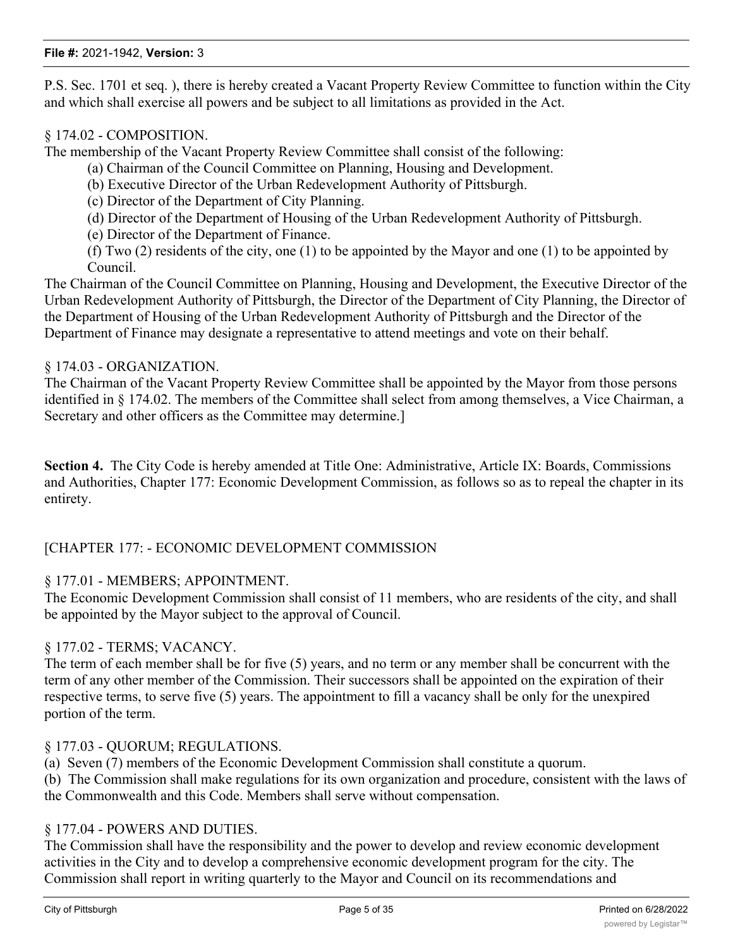P.S. Sec. 1701 et seq. ), there is hereby created a Vacant Property Review Committee to function within the City and which shall exercise all powers and be subject to all limitations as provided in the Act.

#### § 174.02 - COMPOSITION.

The membership of the Vacant Property Review Committee shall consist of the following:

- (a) Chairman of the Council Committee on Planning, Housing and Development.
- (b) Executive Director of the Urban Redevelopment Authority of Pittsburgh.
- (c) Director of the Department of City Planning.
- (d) Director of the Department of Housing of the Urban Redevelopment Authority of Pittsburgh.
- (e) Director of the Department of Finance.
- (f) Two (2) residents of the city, one (1) to be appointed by the Mayor and one (1) to be appointed by Council.

The Chairman of the Council Committee on Planning, Housing and Development, the Executive Director of the Urban Redevelopment Authority of Pittsburgh, the Director of the Department of City Planning, the Director of the Department of Housing of the Urban Redevelopment Authority of Pittsburgh and the Director of the Department of Finance may designate a representative to attend meetings and vote on their behalf.

#### § 174.03 - ORGANIZATION.

The Chairman of the Vacant Property Review Committee shall be appointed by the Mayor from those persons identified in § 174.02. The members of the Committee shall select from among themselves, a Vice Chairman, a Secretary and other officers as the Committee may determine.]

**Section 4.** The City Code is hereby amended at Title One: Administrative, Article IX: Boards, Commissions and Authorities, Chapter 177: Economic Development Commission, as follows so as to repeal the chapter in its entirety.

#### [CHAPTER 177: - ECONOMIC DEVELOPMENT COMMISSION

#### § 177.01 - MEMBERS; APPOINTMENT.

The Economic Development Commission shall consist of 11 members, who are residents of the city, and shall be appointed by the Mayor subject to the approval of Council.

#### § 177.02 - TERMS; VACANCY.

The term of each member shall be for five (5) years, and no term or any member shall be concurrent with the term of any other member of the Commission. Their successors shall be appointed on the expiration of their respective terms, to serve five (5) years. The appointment to fill a vacancy shall be only for the unexpired portion of the term.

#### § 177.03 - QUORUM; REGULATIONS.

(a) Seven (7) members of the Economic Development Commission shall constitute a quorum.

(b) The Commission shall make regulations for its own organization and procedure, consistent with the laws of the Commonwealth and this Code. Members shall serve without compensation.

#### § 177.04 - POWERS AND DUTIES.

The Commission shall have the responsibility and the power to develop and review economic development activities in the City and to develop a comprehensive economic development program for the city. The Commission shall report in writing quarterly to the Mayor and Council on its recommendations and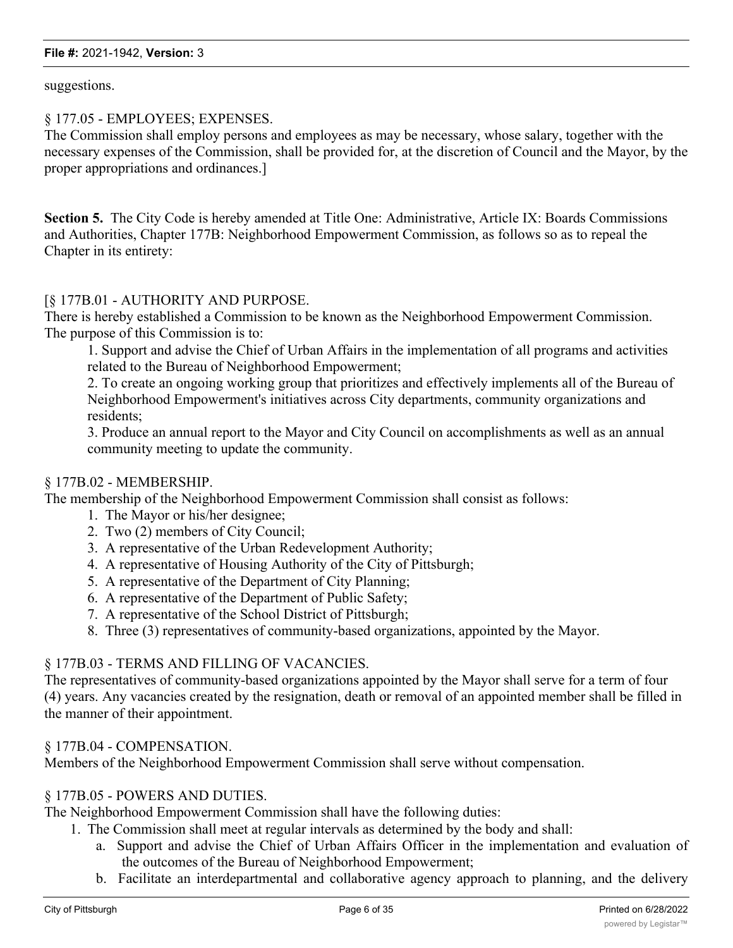suggestions.

#### § 177.05 - EMPLOYEES; EXPENSES.

The Commission shall employ persons and employees as may be necessary, whose salary, together with the necessary expenses of the Commission, shall be provided for, at the discretion of Council and the Mayor, by the proper appropriations and ordinances.]

**Section 5.** The City Code is hereby amended at Title One: Administrative, Article IX: Boards Commissions and Authorities, Chapter 177B: Neighborhood Empowerment Commission, as follows so as to repeal the Chapter in its entirety:

#### [§ 177B.01 - AUTHORITY AND PURPOSE.

There is hereby established a Commission to be known as the Neighborhood Empowerment Commission. The purpose of this Commission is to:

1. Support and advise the Chief of Urban Affairs in the implementation of all programs and activities related to the Bureau of Neighborhood Empowerment;

2. To create an ongoing working group that prioritizes and effectively implements all of the Bureau of Neighborhood Empowerment's initiatives across City departments, community organizations and residents;

3. Produce an annual report to the Mayor and City Council on accomplishments as well as an annual community meeting to update the community.

#### § 177B.02 - MEMBERSHIP.

The membership of the Neighborhood Empowerment Commission shall consist as follows:

- 1. The Mayor or his/her designee;
- 2. Two (2) members of City Council;
- 3. A representative of the Urban Redevelopment Authority;
- 4. A representative of Housing Authority of the City of Pittsburgh;
- 5. A representative of the Department of City Planning;
- 6. A representative of the Department of Public Safety;
- 7. A representative of the School District of Pittsburgh;
- 8. Three (3) representatives of community-based organizations, appointed by the Mayor.

#### § 177B.03 - TERMS AND FILLING OF VACANCIES.

The representatives of community-based organizations appointed by the Mayor shall serve for a term of four (4) years. Any vacancies created by the resignation, death or removal of an appointed member shall be filled in the manner of their appointment.

#### § 177B.04 - COMPENSATION.

Members of the Neighborhood Empowerment Commission shall serve without compensation.

#### § 177B.05 - POWERS AND DUTIES.

The Neighborhood Empowerment Commission shall have the following duties:

- 1. The Commission shall meet at regular intervals as determined by the body and shall:
	- a. Support and advise the Chief of Urban Affairs Officer in the implementation and evaluation of the outcomes of the Bureau of Neighborhood Empowerment;
	- b. Facilitate an interdepartmental and collaborative agency approach to planning, and the delivery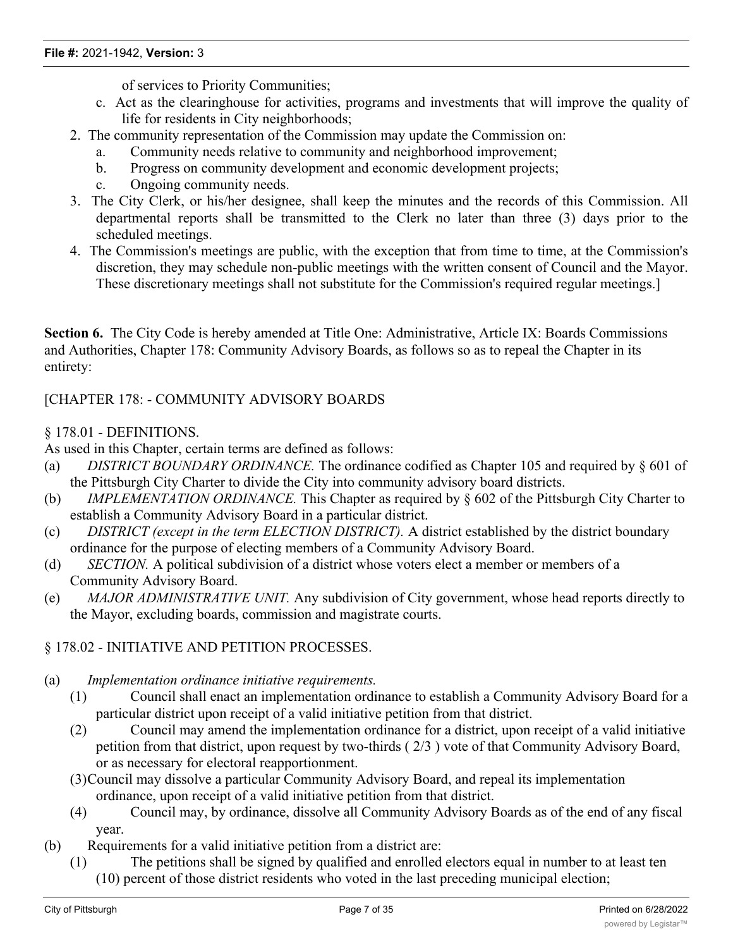of services to Priority Communities;

- c. Act as the clearinghouse for activities, programs and investments that will improve the quality of life for residents in City neighborhoods;
- 2. The community representation of the Commission may update the Commission on:
	- a. Community needs relative to community and neighborhood improvement;
	- b. Progress on community development and economic development projects;
	- c. Ongoing community needs.
- 3. The City Clerk, or his/her designee, shall keep the minutes and the records of this Commission. All departmental reports shall be transmitted to the Clerk no later than three (3) days prior to the scheduled meetings.
- 4. The Commission's meetings are public, with the exception that from time to time, at the Commission's discretion, they may schedule non-public meetings with the written consent of Council and the Mayor. These discretionary meetings shall not substitute for the Commission's required regular meetings.]

**Section 6.** The City Code is hereby amended at Title One: Administrative, Article IX: Boards Commissions and Authorities, Chapter 178: Community Advisory Boards, as follows so as to repeal the Chapter in its entirety:

[CHAPTER 178: - COMMUNITY ADVISORY BOARDS

#### § 178.01 - DEFINITIONS.

As used in this Chapter, certain terms are defined as follows:

- (a) *DISTRICT BOUNDARY ORDINANCE.* The ordinance codified as Chapter 105 and required by § 601 of the Pittsburgh City Charter to divide the City into community advisory board districts.
- (b) *IMPLEMENTATION ORDINANCE.* This Chapter as required by § 602 of the Pittsburgh City Charter to establish a Community Advisory Board in a particular district.
- (c) *DISTRICT (except in the term ELECTION DISTRICT).* A district established by the district boundary ordinance for the purpose of electing members of a Community Advisory Board.
- (d) *SECTION.* A political subdivision of a district whose voters elect a member or members of a Community Advisory Board.
- (e) *MAJOR ADMINISTRATIVE UNIT.* Any subdivision of City government, whose head reports directly to the Mayor, excluding boards, commission and magistrate courts.

# § 178.02 - INITIATIVE AND PETITION PROCESSES.

- (a) *Implementation ordinance initiative requirements.*
	- (1) Council shall enact an implementation ordinance to establish a Community Advisory Board for a particular district upon receipt of a valid initiative petition from that district.
	- (2) Council may amend the implementation ordinance for a district, upon receipt of a valid initiative petition from that district, upon request by two-thirds ( 2/3 ) vote of that Community Advisory Board, or as necessary for electoral reapportionment.
	- (3)Council may dissolve a particular Community Advisory Board, and repeal its implementation ordinance, upon receipt of a valid initiative petition from that district.
	- (4) Council may, by ordinance, dissolve all Community Advisory Boards as of the end of any fiscal year.
- (b) Requirements for a valid initiative petition from a district are:
	- (1) The petitions shall be signed by qualified and enrolled electors equal in number to at least ten (10) percent of those district residents who voted in the last preceding municipal election;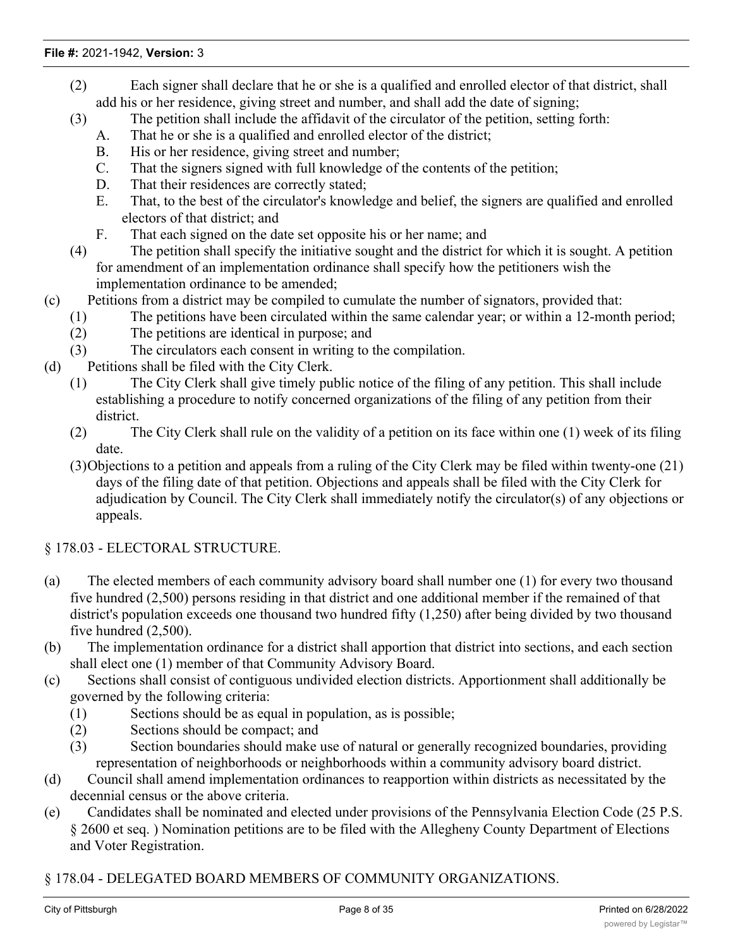- (2) Each signer shall declare that he or she is a qualified and enrolled elector of that district, shall add his or her residence, giving street and number, and shall add the date of signing;
- (3) The petition shall include the affidavit of the circulator of the petition, setting forth:
	- A. That he or she is a qualified and enrolled elector of the district;
	- B. His or her residence, giving street and number;
	- C. That the signers signed with full knowledge of the contents of the petition;
	- D. That their residences are correctly stated;
	- E. That, to the best of the circulator's knowledge and belief, the signers are qualified and enrolled electors of that district; and
	- F. That each signed on the date set opposite his or her name; and
- (4) The petition shall specify the initiative sought and the district for which it is sought. A petition for amendment of an implementation ordinance shall specify how the petitioners wish the implementation ordinance to be amended;
- (c) Petitions from a district may be compiled to cumulate the number of signators, provided that:
	- (1) The petitions have been circulated within the same calendar year; or within a 12-month period;
	- (2) The petitions are identical in purpose; and
	- (3) The circulators each consent in writing to the compilation.
- (d) Petitions shall be filed with the City Clerk.
	- (1) The City Clerk shall give timely public notice of the filing of any petition. This shall include establishing a procedure to notify concerned organizations of the filing of any petition from their district.
	- (2) The City Clerk shall rule on the validity of a petition on its face within one (1) week of its filing date.
	- (3)Objections to a petition and appeals from a ruling of the City Clerk may be filed within twenty-one (21) days of the filing date of that petition. Objections and appeals shall be filed with the City Clerk for adjudication by Council. The City Clerk shall immediately notify the circulator(s) of any objections or appeals.
- § 178.03 ELECTORAL STRUCTURE.
- (a) The elected members of each community advisory board shall number one (1) for every two thousand five hundred (2,500) persons residing in that district and one additional member if the remained of that district's population exceeds one thousand two hundred fifty (1,250) after being divided by two thousand five hundred (2,500).
- (b) The implementation ordinance for a district shall apportion that district into sections, and each section shall elect one (1) member of that Community Advisory Board.
- (c) Sections shall consist of contiguous undivided election districts. Apportionment shall additionally be governed by the following criteria:
	- (1) Sections should be as equal in population, as is possible;
	- (2) Sections should be compact; and
	- (3) Section boundaries should make use of natural or generally recognized boundaries, providing representation of neighborhoods or neighborhoods within a community advisory board district.
- (d) Council shall amend implementation ordinances to reapportion within districts as necessitated by the decennial census or the above criteria.
- (e) Candidates shall be nominated and elected under provisions of the Pennsylvania Election Code (25 P.S. § 2600 et seq. ) Nomination petitions are to be filed with the Allegheny County Department of Elections and Voter Registration.

# § 178.04 - DELEGATED BOARD MEMBERS OF COMMUNITY ORGANIZATIONS.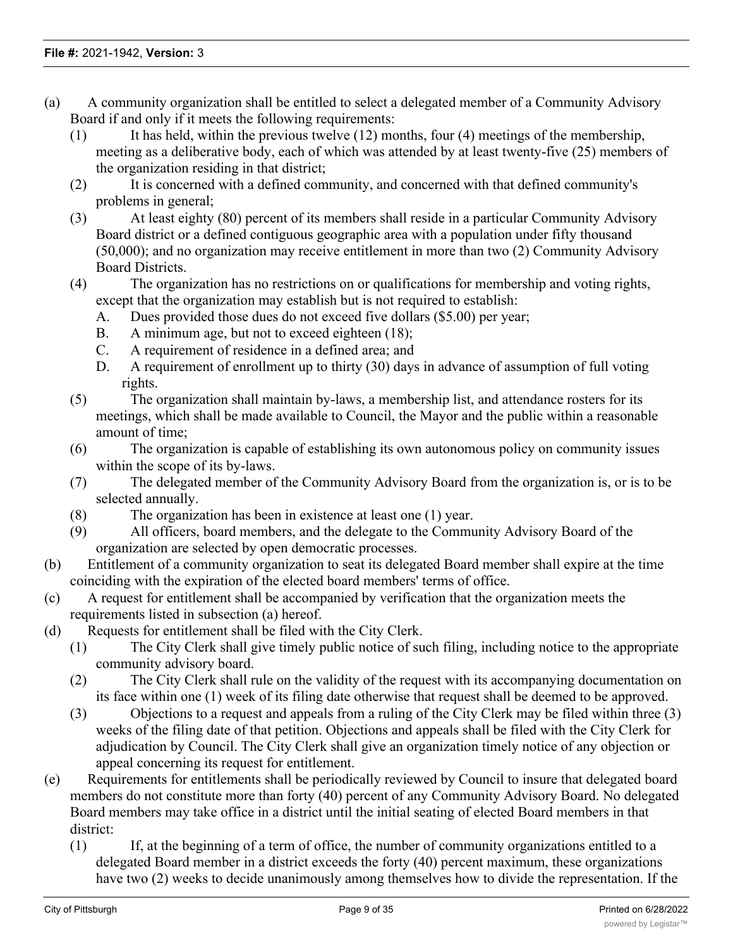- (a) A community organization shall be entitled to select a delegated member of a Community Advisory Board if and only if it meets the following requirements:
	- (1) It has held, within the previous twelve (12) months, four (4) meetings of the membership, meeting as a deliberative body, each of which was attended by at least twenty-five (25) members of the organization residing in that district;
	- (2) It is concerned with a defined community, and concerned with that defined community's problems in general;
	- (3) At least eighty (80) percent of its members shall reside in a particular Community Advisory Board district or a defined contiguous geographic area with a population under fifty thousand (50,000); and no organization may receive entitlement in more than two (2) Community Advisory Board Districts.
	- (4) The organization has no restrictions on or qualifications for membership and voting rights, except that the organization may establish but is not required to establish:
		- A. Dues provided those dues do not exceed five dollars (\$5.00) per year;
		- B. A minimum age, but not to exceed eighteen (18);
		- C. A requirement of residence in a defined area; and
		- D. A requirement of enrollment up to thirty (30) days in advance of assumption of full voting rights.
	- (5) The organization shall maintain by-laws, a membership list, and attendance rosters for its meetings, which shall be made available to Council, the Mayor and the public within a reasonable amount of time;
	- (6) The organization is capable of establishing its own autonomous policy on community issues within the scope of its by-laws.
	- (7) The delegated member of the Community Advisory Board from the organization is, or is to be selected annually.
	- (8) The organization has been in existence at least one (1) year.
	- (9) All officers, board members, and the delegate to the Community Advisory Board of the organization are selected by open democratic processes.
- (b) Entitlement of a community organization to seat its delegated Board member shall expire at the time coinciding with the expiration of the elected board members' terms of office.
- (c) A request for entitlement shall be accompanied by verification that the organization meets the requirements listed in subsection (a) hereof.
- (d) Requests for entitlement shall be filed with the City Clerk.
	- (1) The City Clerk shall give timely public notice of such filing, including notice to the appropriate community advisory board.
	- (2) The City Clerk shall rule on the validity of the request with its accompanying documentation on its face within one (1) week of its filing date otherwise that request shall be deemed to be approved.
	- (3) Objections to a request and appeals from a ruling of the City Clerk may be filed within three (3) weeks of the filing date of that petition. Objections and appeals shall be filed with the City Clerk for adjudication by Council. The City Clerk shall give an organization timely notice of any objection or appeal concerning its request for entitlement.
- (e) Requirements for entitlements shall be periodically reviewed by Council to insure that delegated board members do not constitute more than forty (40) percent of any Community Advisory Board. No delegated Board members may take office in a district until the initial seating of elected Board members in that district:
	- (1) If, at the beginning of a term of office, the number of community organizations entitled to a delegated Board member in a district exceeds the forty (40) percent maximum, these organizations have two (2) weeks to decide unanimously among themselves how to divide the representation. If the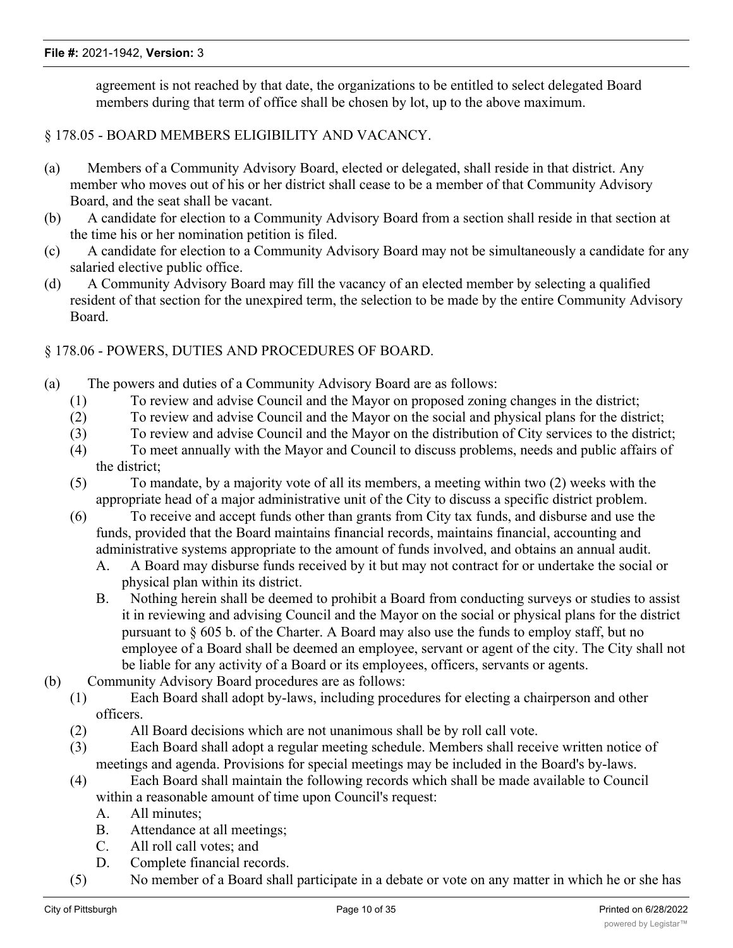agreement is not reached by that date, the organizations to be entitled to select delegated Board members during that term of office shall be chosen by lot, up to the above maximum.

# § 178.05 - BOARD MEMBERS ELIGIBILITY AND VACANCY.

- (a) Members of a Community Advisory Board, elected or delegated, shall reside in that district. Any member who moves out of his or her district shall cease to be a member of that Community Advisory Board, and the seat shall be vacant.
- (b) A candidate for election to a Community Advisory Board from a section shall reside in that section at the time his or her nomination petition is filed.
- (c) A candidate for election to a Community Advisory Board may not be simultaneously a candidate for any salaried elective public office.
- (d) A Community Advisory Board may fill the vacancy of an elected member by selecting a qualified resident of that section for the unexpired term, the selection to be made by the entire Community Advisory Board.

#### § 178.06 - POWERS, DUTIES AND PROCEDURES OF BOARD.

- (a) The powers and duties of a Community Advisory Board are as follows:
	- (1) To review and advise Council and the Mayor on proposed zoning changes in the district;
	- (2) To review and advise Council and the Mayor on the social and physical plans for the district;
	- (3) To review and advise Council and the Mayor on the distribution of City services to the district;
	- (4) To meet annually with the Mayor and Council to discuss problems, needs and public affairs of the district;
	- (5) To mandate, by a majority vote of all its members, a meeting within two (2) weeks with the appropriate head of a major administrative unit of the City to discuss a specific district problem.
	- (6) To receive and accept funds other than grants from City tax funds, and disburse and use the funds, provided that the Board maintains financial records, maintains financial, accounting and administrative systems appropriate to the amount of funds involved, and obtains an annual audit.
		- A. A Board may disburse funds received by it but may not contract for or undertake the social or physical plan within its district.
		- B. Nothing herein shall be deemed to prohibit a Board from conducting surveys or studies to assist it in reviewing and advising Council and the Mayor on the social or physical plans for the district pursuant to § 605 b. of the Charter. A Board may also use the funds to employ staff, but no employee of a Board shall be deemed an employee, servant or agent of the city. The City shall not be liable for any activity of a Board or its employees, officers, servants or agents.
- (b) Community Advisory Board procedures are as follows:
	- (1) Each Board shall adopt by-laws, including procedures for electing a chairperson and other officers.
	- (2) All Board decisions which are not unanimous shall be by roll call vote.
	- (3) Each Board shall adopt a regular meeting schedule. Members shall receive written notice of meetings and agenda. Provisions for special meetings may be included in the Board's by-laws.
	- (4) Each Board shall maintain the following records which shall be made available to Council within a reasonable amount of time upon Council's request:
		- A. All minutes;
		- B. Attendance at all meetings;
		- C. All roll call votes; and
		- D. Complete financial records.
	- (5) No member of a Board shall participate in a debate or vote on any matter in which he or she has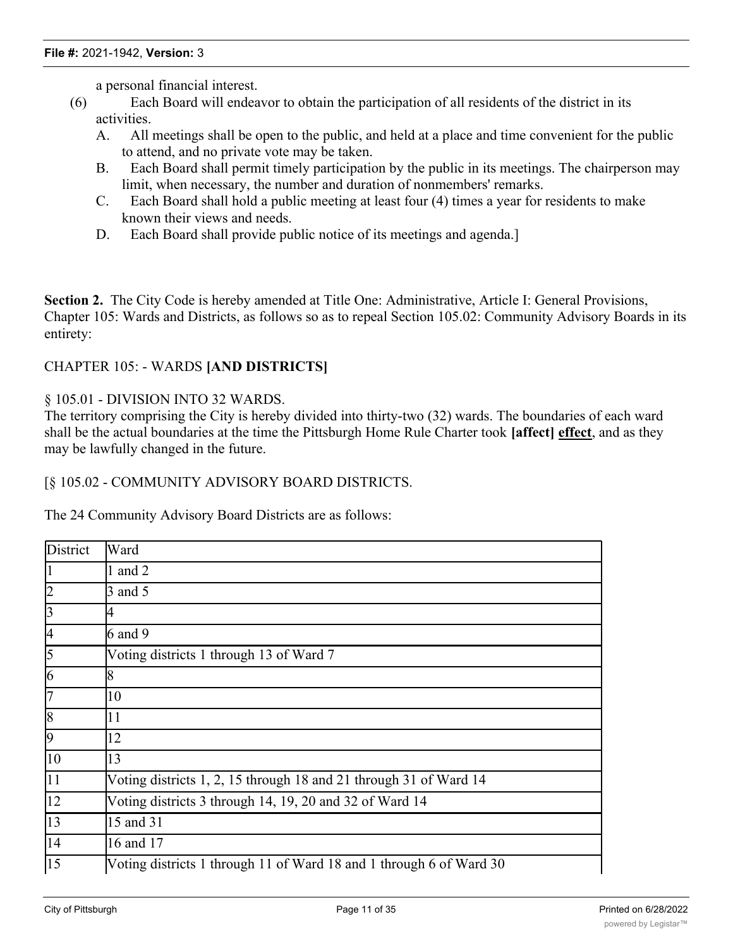a personal financial interest.

- (6) Each Board will endeavor to obtain the participation of all residents of the district in its activities.
	- A. All meetings shall be open to the public, and held at a place and time convenient for the public to attend, and no private vote may be taken.
	- B. Each Board shall permit timely participation by the public in its meetings. The chairperson may limit, when necessary, the number and duration of nonmembers' remarks.
	- C. Each Board shall hold a public meeting at least four (4) times a year for residents to make known their views and needs.
	- D. Each Board shall provide public notice of its meetings and agenda.]

Section 2. The City Code is hereby amended at Title One: Administrative, Article I: General Provisions, Chapter 105: Wards and Districts, as follows so as to repeal Section 105.02: Community Advisory Boards in its entirety:

#### CHAPTER 105: - WARDS **[AND DISTRICTS]**

#### § 105.01 - DIVISION INTO 32 WARDS.

The territory comprising the City is hereby divided into thirty-two (32) wards. The boundaries of each ward shall be the actual boundaries at the time the Pittsburgh Home Rule Charter took **[affect] effect**, and as they may be lawfully changed in the future.

#### [§ 105.02 - COMMUNITY ADVISORY BOARD DISTRICTS.

The 24 Community Advisory Board Districts are as follows:

| District       | Ward                                                                |
|----------------|---------------------------------------------------------------------|
|                | 1 and $2$                                                           |
| 2              | $3$ and $5$                                                         |
| $\overline{3}$ | 14                                                                  |
| $\overline{4}$ | $6$ and $9$                                                         |
| 5              | Voting districts 1 through 13 of Ward 7                             |
| $\overline{6}$ | 8                                                                   |
| 7              | 10                                                                  |
| 8              | 11                                                                  |
| $\overline{9}$ | 12                                                                  |
| $ 10\rangle$   | 13                                                                  |
| 11             | Voting districts 1, 2, 15 through 18 and 21 through 31 of Ward 14   |
| 12             | Voting districts 3 through 14, 19, 20 and 32 of Ward 14             |
| $ 13\rangle$   | 15 and 31                                                           |
| 14             | 16 and 17                                                           |
| 15             | Voting districts 1 through 11 of Ward 18 and 1 through 6 of Ward 30 |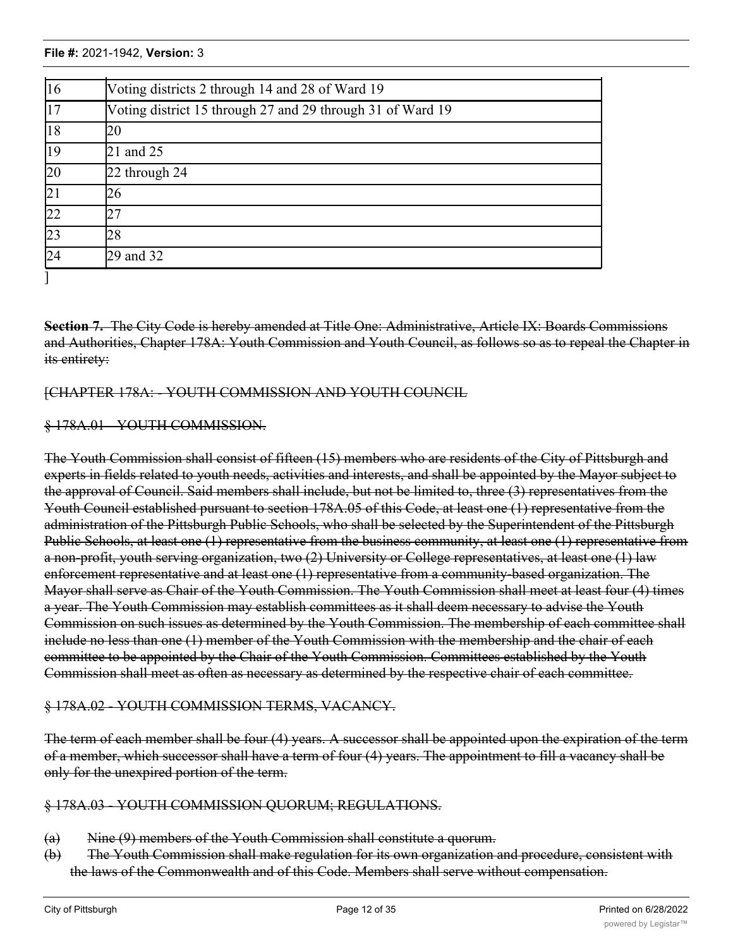| $\overline{16}$ | Voting districts 2 through 14 and 28 of Ward 19            |
|-----------------|------------------------------------------------------------|
| $\overline{17}$ | Voting district 15 through 27 and 29 through 31 of Ward 19 |
| $\overline{18}$ | 20                                                         |
| $\overline{19}$ | 21 and 25                                                  |
| 20              | 22 through 24                                              |
| $\overline{21}$ | 26                                                         |
| $\overline{22}$ |                                                            |
| $\overline{23}$ | 28                                                         |
| $\overline{24}$ | 29 and 32                                                  |

]

**Section 7.** The City Code is hereby amended at Title One: Administrative, Article IX: Boards Commissions and Authorities, Chapter 178A: Youth Commission and Youth Council, as follows so as to repeal the Chapter in its entirety:

#### [CHAPTER 178A: - YOUTH COMMISSION AND YOUTH COUNCIL

#### § 178A.01 - YOUTH COMMISSION.

The Youth Commission shall consist of fifteen (15) members who are residents of the City of Pittsburgh and experts in fields related to youth needs, activities and interests, and shall be appointed by the Mayor subject to the approval of Council. Said members shall include, but not be limited to, three (3) representatives from the Youth Council established pursuant to section 178A.05 of this Code, at least one (1) representative from the administration of the Pittsburgh Public Schools, who shall be selected by the Superintendent of the Pittsburgh Public Schools, at least one (1) representative from the business community, at least one (1) representative from a non-profit, youth serving organization, two (2) University or College representatives, at least one (1) law enforcement representative and at least one (1) representative from a community-based organization. The Mayor shall serve as Chair of the Youth Commission. The Youth Commission shall meet at least four (4) times a year. The Youth Commission may establish committees as it shall deem necessary to advise the Youth Commission on such issues as determined by the Youth Commission. The membership of each committee shall include no less than one (1) member of the Youth Commission with the membership and the chair of each committee to be appointed by the Chair of the Youth Commission. Committees established by the Youth Commission shall meet as often as necessary as determined by the respective chair of each committee.

#### § 178A.02 - YOUTH COMMISSION TERMS, VACANCY.

The term of each member shall be four (4) years. A successor shall be appointed upon the expiration of the term of a member, which successor shall have a term of four (4) years. The appointment to fill a vacancy shall be only for the unexpired portion of the term.

#### § 178A.03 - YOUTH COMMISSION QUORUM; REGULATIONS.

- (a) Nine (9) members of the Youth Commission shall constitute a quorum.
- (b) The Youth Commission shall make regulation for its own organization and procedure, consistent with the laws of the Commonwealth and of this Code. Members shall serve without compensation.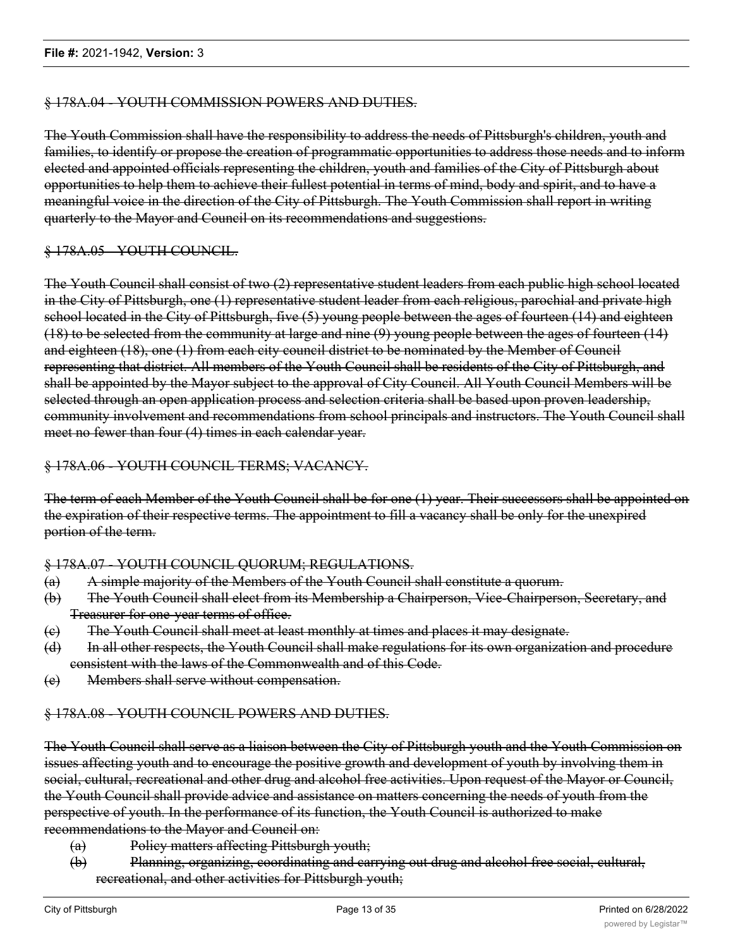#### § 178A.04 - YOUTH COMMISSION POWERS AND DUTIES.

The Youth Commission shall have the responsibility to address the needs of Pittsburgh's children, youth and families, to identify or propose the creation of programmatic opportunities to address those needs and to inform elected and appointed officials representing the children, youth and families of the City of Pittsburgh about opportunities to help them to achieve their fullest potential in terms of mind, body and spirit, and to have a meaningful voice in the direction of the City of Pittsburgh. The Youth Commission shall report in writing quarterly to the Mayor and Council on its recommendations and suggestions.

#### § 178A.05 - YOUTH COUNCIL.

The Youth Council shall consist of two (2) representative student leaders from each public high school located in the City of Pittsburgh, one (1) representative student leader from each religious, parochial and private high school located in the City of Pittsburgh, five (5) young people between the ages of fourteen (14) and eighteen (18) to be selected from the community at large and nine (9) young people between the ages of fourteen (14) and eighteen (18), one (1) from each city council district to be nominated by the Member of Council representing that district. All members of the Youth Council shall be residents of the City of Pittsburgh, and shall be appointed by the Mayor subject to the approval of City Council. All Youth Council Members will be selected through an open application process and selection criteria shall be based upon proven leadership, community involvement and recommendations from school principals and instructors. The Youth Council shall meet no fewer than four (4) times in each calendar year.

#### § 178A.06 - YOUTH COUNCIL TERMS; VACANCY.

The term of each Member of the Youth Council shall be for one (1) year. Their successors shall be appointed on the expiration of their respective terms. The appointment to fill a vacancy shall be only for the unexpired portion of the term.

#### § 178A.07 - YOUTH COUNCIL QUORUM; REGULATIONS.

- (a) A simple majority of the Members of the Youth Council shall constitute a quorum.
- (b) The Youth Council shall elect from its Membership a Chairperson, Vice-Chairperson, Secretary, and Treasurer for one-year terms of office.
- (c) The Youth Council shall meet at least monthly at times and places it may designate.
- (d) In all other respects, the Youth Council shall make regulations for its own organization and procedure consistent with the laws of the Commonwealth and of this Code.
- (e) Members shall serve without compensation.

#### § 178A.08 - YOUTH COUNCIL POWERS AND DUTIES.

The Youth Council shall serve as a liaison between the City of Pittsburgh youth and the Youth Commission on issues affecting youth and to encourage the positive growth and development of youth by involving them in social, cultural, recreational and other drug and alcohol free activities. Upon request of the Mayor or Council, the Youth Council shall provide advice and assistance on matters concerning the needs of youth from the perspective of youth. In the performance of its function, the Youth Council is authorized to make recommendations to the Mayor and Council on:

- (a) Policy matters affecting Pittsburgh youth;
- (b) Planning, organizing, coordinating and carrying out drug and alcohol free social, cultural, recreational, and other activities for Pittsburgh youth;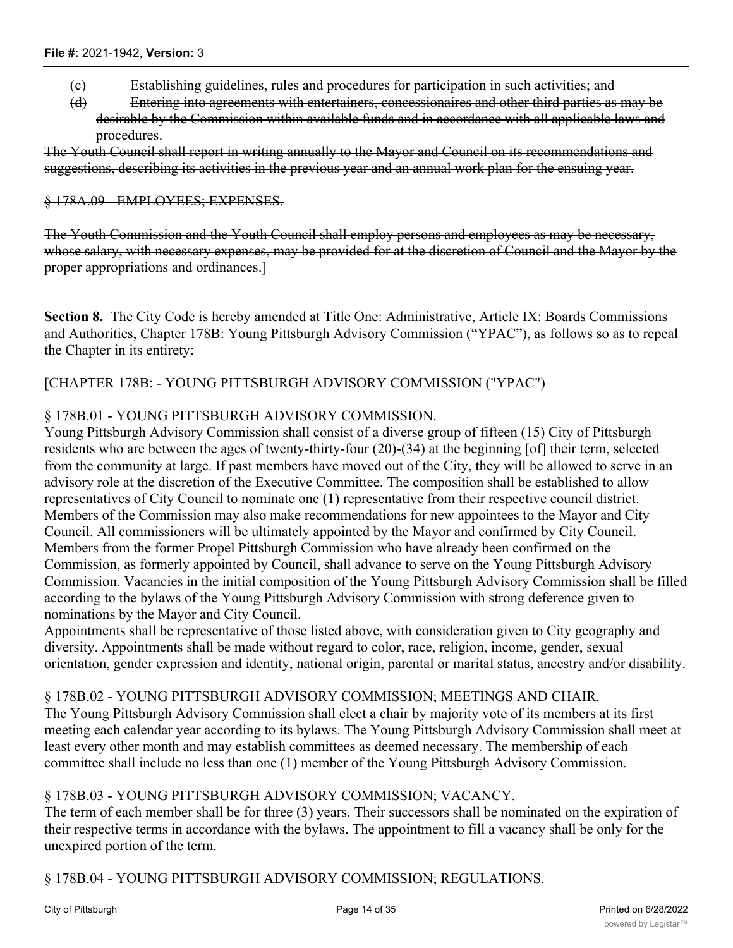- (c) Establishing guidelines, rules and procedures for participation in such activities; and
- (d) Entering into agreements with entertainers, concessionaires and other third parties as may be desirable by the Commission within available funds and in accordance with all applicable laws and procedures.

The Youth Council shall report in writing annually to the Mayor and Council on its recommendations and suggestions, describing its activities in the previous year and an annual work plan for the ensuing year.

#### § 178A.09 - EMPLOYEES; EXPENSES.

The Youth Commission and the Youth Council shall employ persons and employees as may be necessary, whose salary, with necessary expenses, may be provided for at the discretion of Council and the Mayor by the proper appropriations and ordinances.]

**Section 8.** The City Code is hereby amended at Title One: Administrative, Article IX: Boards Commissions and Authorities, Chapter 178B: Young Pittsburgh Advisory Commission ("YPAC"), as follows so as to repeal the Chapter in its entirety:

[CHAPTER 178B: - YOUNG PITTSBURGH ADVISORY COMMISSION ("YPAC")

#### § 178B.01 - YOUNG PITTSBURGH ADVISORY COMMISSION.

Young Pittsburgh Advisory Commission shall consist of a diverse group of fifteen (15) City of Pittsburgh residents who are between the ages of twenty-thirty-four (20)-(34) at the beginning [of] their term, selected from the community at large. If past members have moved out of the City, they will be allowed to serve in an advisory role at the discretion of the Executive Committee. The composition shall be established to allow representatives of City Council to nominate one (1) representative from their respective council district. Members of the Commission may also make recommendations for new appointees to the Mayor and City Council. All commissioners will be ultimately appointed by the Mayor and confirmed by City Council. Members from the former Propel Pittsburgh Commission who have already been confirmed on the Commission, as formerly appointed by Council, shall advance to serve on the Young Pittsburgh Advisory Commission. Vacancies in the initial composition of the Young Pittsburgh Advisory Commission shall be filled according to the bylaws of the Young Pittsburgh Advisory Commission with strong deference given to nominations by the Mayor and City Council.

Appointments shall be representative of those listed above, with consideration given to City geography and diversity. Appointments shall be made without regard to color, race, religion, income, gender, sexual orientation, gender expression and identity, national origin, parental or marital status, ancestry and/or disability.

#### § 178B.02 - YOUNG PITTSBURGH ADVISORY COMMISSION; MEETINGS AND CHAIR.

The Young Pittsburgh Advisory Commission shall elect a chair by majority vote of its members at its first meeting each calendar year according to its bylaws. The Young Pittsburgh Advisory Commission shall meet at least every other month and may establish committees as deemed necessary. The membership of each committee shall include no less than one (1) member of the Young Pittsburgh Advisory Commission.

# § 178B.03 - YOUNG PITTSBURGH ADVISORY COMMISSION; VACANCY.

The term of each member shall be for three (3) years. Their successors shall be nominated on the expiration of their respective terms in accordance with the bylaws. The appointment to fill a vacancy shall be only for the unexpired portion of the term.

§ 178B.04 - YOUNG PITTSBURGH ADVISORY COMMISSION; REGULATIONS.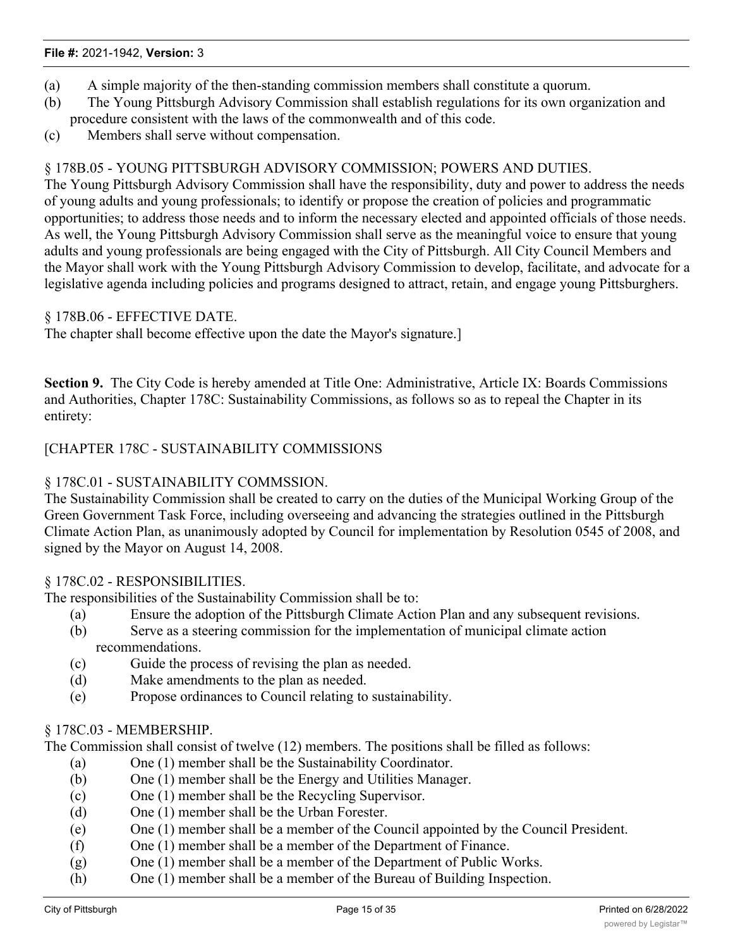- (a) A simple majority of the then-standing commission members shall constitute a quorum.
- (b) The Young Pittsburgh Advisory Commission shall establish regulations for its own organization and procedure consistent with the laws of the commonwealth and of this code.
- (c) Members shall serve without compensation.

# § 178B.05 - YOUNG PITTSBURGH ADVISORY COMMISSION; POWERS AND DUTIES.

The Young Pittsburgh Advisory Commission shall have the responsibility, duty and power to address the needs of young adults and young professionals; to identify or propose the creation of policies and programmatic opportunities; to address those needs and to inform the necessary elected and appointed officials of those needs. As well, the Young Pittsburgh Advisory Commission shall serve as the meaningful voice to ensure that young adults and young professionals are being engaged with the City of Pittsburgh. All City Council Members and the Mayor shall work with the Young Pittsburgh Advisory Commission to develop, facilitate, and advocate for a legislative agenda including policies and programs designed to attract, retain, and engage young Pittsburghers.

#### § 178B.06 - EFFECTIVE DATE.

The chapter shall become effective upon the date the Mayor's signature.]

**Section 9.** The City Code is hereby amended at Title One: Administrative, Article IX: Boards Commissions and Authorities, Chapter 178C: Sustainability Commissions, as follows so as to repeal the Chapter in its entirety:

# [CHAPTER 178C - SUSTAINABILITY COMMISSIONS

# § 178C.01 - SUSTAINABILITY COMMSSION.

The Sustainability Commission shall be created to carry on the duties of the Municipal Working Group of the Green Government Task Force, including overseeing and advancing the strategies outlined in the Pittsburgh Climate Action Plan, as unanimously adopted by Council for implementation by Resolution 0545 of 2008, and signed by the Mayor on August 14, 2008.

#### § 178C.02 - RESPONSIBILITIES.

The responsibilities of the Sustainability Commission shall be to:

- (a) Ensure the adoption of the Pittsburgh Climate Action Plan and any subsequent revisions.
- (b) Serve as a steering commission for the implementation of municipal climate action recommendations.
- (c) Guide the process of revising the plan as needed.
- (d) Make amendments to the plan as needed.
- (e) Propose ordinances to Council relating to sustainability.

#### § 178C.03 - MEMBERSHIP.

The Commission shall consist of twelve (12) members. The positions shall be filled as follows:

- (a) One (1) member shall be the Sustainability Coordinator.
- (b) One (1) member shall be the Energy and Utilities Manager.
- (c) One (1) member shall be the Recycling Supervisor.
- (d) One (1) member shall be the Urban Forester.
- (e) One (1) member shall be a member of the Council appointed by the Council President.
- (f) One (1) member shall be a member of the Department of Finance.
- (g) One (1) member shall be a member of the Department of Public Works.
- (h) One (1) member shall be a member of the Bureau of Building Inspection.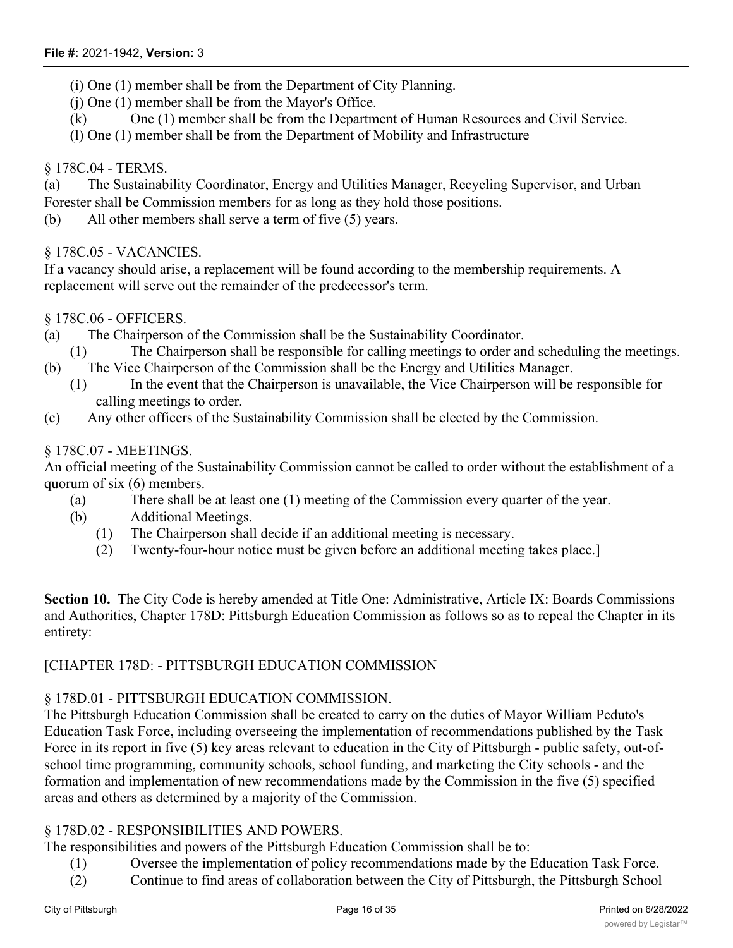- (i) One (1) member shall be from the Department of City Planning.
- (j) One (1) member shall be from the Mayor's Office.
- (k) One (1) member shall be from the Department of Human Resources and Civil Service.
- (l) One (1) member shall be from the Department of Mobility and Infrastructure

#### § 178C.04 - TERMS.

(a) The Sustainability Coordinator, Energy and Utilities Manager, Recycling Supervisor, and Urban Forester shall be Commission members for as long as they hold those positions.

(b) All other members shall serve a term of five (5) years.

#### § 178C.05 - VACANCIES.

If a vacancy should arise, a replacement will be found according to the membership requirements. A replacement will serve out the remainder of the predecessor's term.

§ 178C.06 - OFFICERS.

- (a) The Chairperson of the Commission shall be the Sustainability Coordinator.
- (1) The Chairperson shall be responsible for calling meetings to order and scheduling the meetings.
- (b) The Vice Chairperson of the Commission shall be the Energy and Utilities Manager.
	- (1) In the event that the Chairperson is unavailable, the Vice Chairperson will be responsible for calling meetings to order.
- (c) Any other officers of the Sustainability Commission shall be elected by the Commission.

#### § 178C.07 - MEETINGS.

An official meeting of the Sustainability Commission cannot be called to order without the establishment of a quorum of six (6) members.

- (a) There shall be at least one (1) meeting of the Commission every quarter of the year.
- (b) Additional Meetings.
	- (1) The Chairperson shall decide if an additional meeting is necessary.
	- (2) Twenty-four-hour notice must be given before an additional meeting takes place.]

**Section 10.** The City Code is hereby amended at Title One: Administrative, Article IX: Boards Commissions and Authorities, Chapter 178D: Pittsburgh Education Commission as follows so as to repeal the Chapter in its entirety:

[CHAPTER 178D: - PITTSBURGH EDUCATION COMMISSION

# § 178D.01 - PITTSBURGH EDUCATION COMMISSION.

The Pittsburgh Education Commission shall be created to carry on the duties of Mayor William Peduto's Education Task Force, including overseeing the implementation of recommendations published by the Task Force in its report in five (5) key areas relevant to education in the City of Pittsburgh - public safety, out-ofschool time programming, community schools, school funding, and marketing the City schools - and the formation and implementation of new recommendations made by the Commission in the five (5) specified areas and others as determined by a majority of the Commission.

# § 178D.02 - RESPONSIBILITIES AND POWERS.

The responsibilities and powers of the Pittsburgh Education Commission shall be to:

- (1) Oversee the implementation of policy recommendations made by the Education Task Force.
- (2) Continue to find areas of collaboration between the City of Pittsburgh, the Pittsburgh School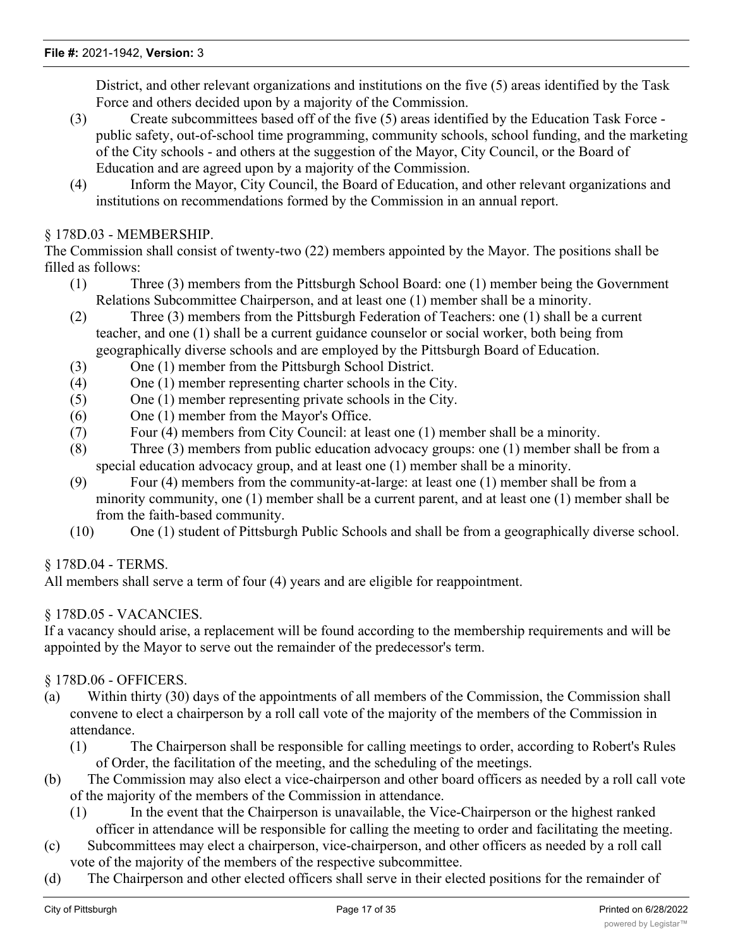District, and other relevant organizations and institutions on the five (5) areas identified by the Task Force and others decided upon by a majority of the Commission.

- (3) Create subcommittees based off of the five (5) areas identified by the Education Task Force public safety, out-of-school time programming, community schools, school funding, and the marketing of the City schools - and others at the suggestion of the Mayor, City Council, or the Board of Education and are agreed upon by a majority of the Commission.
- (4) Inform the Mayor, City Council, the Board of Education, and other relevant organizations and institutions on recommendations formed by the Commission in an annual report.

# § 178D.03 - MEMBERSHIP.

The Commission shall consist of twenty-two (22) members appointed by the Mayor. The positions shall be filled as follows:

- (1) Three (3) members from the Pittsburgh School Board: one (1) member being the Government Relations Subcommittee Chairperson, and at least one (1) member shall be a minority.
- (2) Three (3) members from the Pittsburgh Federation of Teachers: one (1) shall be a current teacher, and one (1) shall be a current guidance counselor or social worker, both being from geographically diverse schools and are employed by the Pittsburgh Board of Education.
- (3) One (1) member from the Pittsburgh School District.
- (4) One (1) member representing charter schools in the City.
- (5) One (1) member representing private schools in the City.
- (6) One (1) member from the Mayor's Office.
- (7) Four (4) members from City Council: at least one (1) member shall be a minority.
- (8) Three (3) members from public education advocacy groups: one (1) member shall be from a special education advocacy group, and at least one (1) member shall be a minority.
- (9) Four (4) members from the community-at-large: at least one (1) member shall be from a minority community, one (1) member shall be a current parent, and at least one (1) member shall be from the faith-based community.
- (10) One (1) student of Pittsburgh Public Schools and shall be from a geographically diverse school.

# § 178D.04 - TERMS.

All members shall serve a term of four (4) years and are eligible for reappointment.

#### § 178D.05 - VACANCIES.

If a vacancy should arise, a replacement will be found according to the membership requirements and will be appointed by the Mayor to serve out the remainder of the predecessor's term.

#### § 178D.06 - OFFICERS.

- (a) Within thirty (30) days of the appointments of all members of the Commission, the Commission shall convene to elect a chairperson by a roll call vote of the majority of the members of the Commission in attendance.
	- (1) The Chairperson shall be responsible for calling meetings to order, according to Robert's Rules of Order, the facilitation of the meeting, and the scheduling of the meetings.
- (b) The Commission may also elect a vice-chairperson and other board officers as needed by a roll call vote of the majority of the members of the Commission in attendance.
	- (1) In the event that the Chairperson is unavailable, the Vice-Chairperson or the highest ranked officer in attendance will be responsible for calling the meeting to order and facilitating the meeting.
- (c) Subcommittees may elect a chairperson, vice-chairperson, and other officers as needed by a roll call vote of the majority of the members of the respective subcommittee.
- (d) The Chairperson and other elected officers shall serve in their elected positions for the remainder of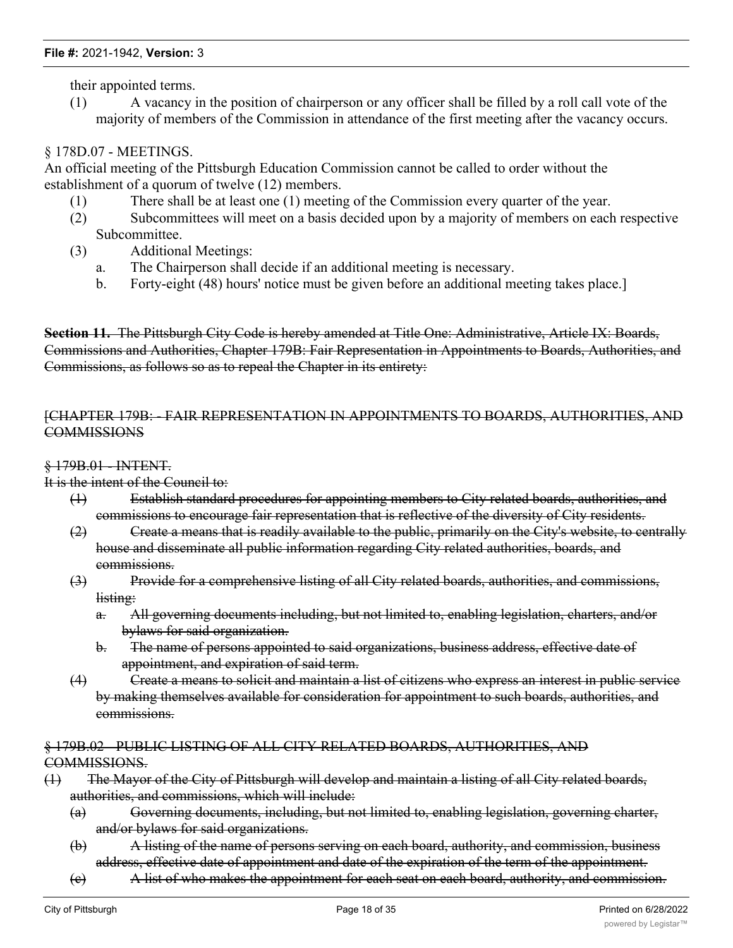their appointed terms.

(1) A vacancy in the position of chairperson or any officer shall be filled by a roll call vote of the majority of members of the Commission in attendance of the first meeting after the vacancy occurs.

# § 178D.07 - MEETINGS.

An official meeting of the Pittsburgh Education Commission cannot be called to order without the establishment of a quorum of twelve (12) members.

- (1) There shall be at least one (1) meeting of the Commission every quarter of the year.
- (2) Subcommittees will meet on a basis decided upon by a majority of members on each respective Subcommittee.
- (3) Additional Meetings:
	- a. The Chairperson shall decide if an additional meeting is necessary.
	- b. Forty-eight (48) hours' notice must be given before an additional meeting takes place.]

**Section 11.** The Pittsburgh City Code is hereby amended at Title One: Administrative, Article IX: Boards, Commissions and Authorities, Chapter 179B: Fair Representation in Appointments to Boards, Authorities, and Commissions, as follows so as to repeal the Chapter in its entirety:

#### [CHAPTER 179B: - FAIR REPRESENTATION IN APPOINTMENTS TO BOARDS, AUTHORITIES, AND **COMMISSIONS**

#### § 179B.01 - INTENT.

It is the intent of the Council to:

- (1) Establish standard procedures for appointing members to City related boards, authorities, and commissions to encourage fair representation that is reflective of the diversity of City residents.
- (2) Create a means that is readily available to the public, primarily on the City's website, to centrally house and disseminate all public information regarding City related authorities, boards, and commissions.
- (3) Provide for a comprehensive listing of all City related boards, authorities, and commissions, listing:
	- a. All governing documents including, but not limited to, enabling legislation, charters, and/or bylaws for said organization.
	- b. The name of persons appointed to said organizations, business address, effective date of appointment, and expiration of said term.
- (4) Create a means to solicit and maintain a list of citizens who express an interest in public service by making themselves available for consideration for appointment to such boards, authorities, and commissions.

#### § 179B.02 - PUBLIC LISTING OF ALL CITY RELATED BOARDS, AUTHORITIES, AND COMMISSIONS.

- (1) The Mayor of the City of Pittsburgh will develop and maintain a listing of all City related boards, authorities, and commissions, which will include:
	- (a) Governing documents, including, but not limited to, enabling legislation, governing charter, and/or bylaws for said organizations.
	- (b) A listing of the name of persons serving on each board, authority, and commission, business address, effective date of appointment and date of the expiration of the term of the appointment.
	- (c) A list of who makes the appointment for each seat on each board, authority, and commission.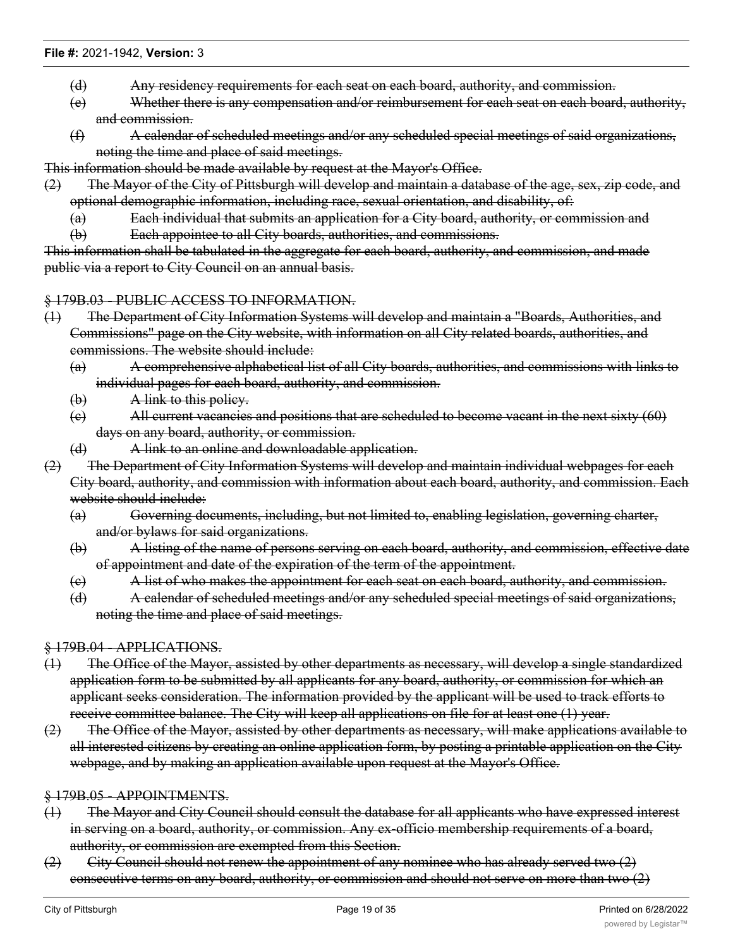- (d) Any residency requirements for each seat on each board, authority, and commission.
- (e) Whether there is any compensation and/or reimbursement for each seat on each board, authority, and commission.
- (f) A calendar of scheduled meetings and/or any scheduled special meetings of said organizations, noting the time and place of said meetings.

This information should be made available by request at the Mayor's Office.

- (2) The Mayor of the City of Pittsburgh will develop and maintain a database of the age, sex, zip code, and optional demographic information, including race, sexual orientation, and disability, of:
	- (a) Each individual that submits an application for a City board, authority, or commission and
	- (b) Each appointee to all City boards, authorities, and commissions.

This information shall be tabulated in the aggregate for each board, authority, and commission, and made public via a report to City Council on an annual basis.

#### § 179B.03 - PUBLIC ACCESS TO INFORMATION.

- (1) The Department of City Information Systems will develop and maintain a "Boards, Authorities, and Commissions" page on the City website, with information on all City related boards, authorities, and commissions. The website should include:
	- (a) A comprehensive alphabetical list of all City boards, authorities, and commissions with links to individual pages for each board, authority, and commission.
	- (b) A link to this policy.
	- (c) All current vacancies and positions that are scheduled to become vacant in the next sixty (60) days on any board, authority, or commission.
	- (d) A link to an online and downloadable application.
- (2) The Department of City Information Systems will develop and maintain individual webpages for each City board, authority, and commission with information about each board, authority, and commission. Each website should include:
	- (a) Governing documents, including, but not limited to, enabling legislation, governing charter, and/or bylaws for said organizations.
	- (b) A listing of the name of persons serving on each board, authority, and commission, effective date of appointment and date of the expiration of the term of the appointment.
	- (c) A list of who makes the appointment for each seat on each board, authority, and commission.
	- (d) A calendar of scheduled meetings and/or any scheduled special meetings of said organizations, noting the time and place of said meetings.

#### § 179B.04 - APPLICATIONS.

- (1) The Office of the Mayor, assisted by other departments as necessary, will develop a single standardized application form to be submitted by all applicants for any board, authority, or commission for which an applicant seeks consideration. The information provided by the applicant will be used to track efforts to receive committee balance. The City will keep all applications on file for at least one (1) year.
- (2) The Office of the Mayor, assisted by other departments as necessary, will make applications available to all interested citizens by creating an online application form, by posting a printable application on the City webpage, and by making an application available upon request at the Mayor's Office.

#### § 179B.05 - APPOINTMENTS.

- (1) The Mayor and City Council should consult the database for all applicants who have expressed interest in serving on a board, authority, or commission. Any ex-officio membership requirements of a board, authority, or commission are exempted from this Section.
- (2) City Council should not renew the appointment of any nominee who has already served two (2) consecutive terms on any board, authority, or commission and should not serve on more than two (2)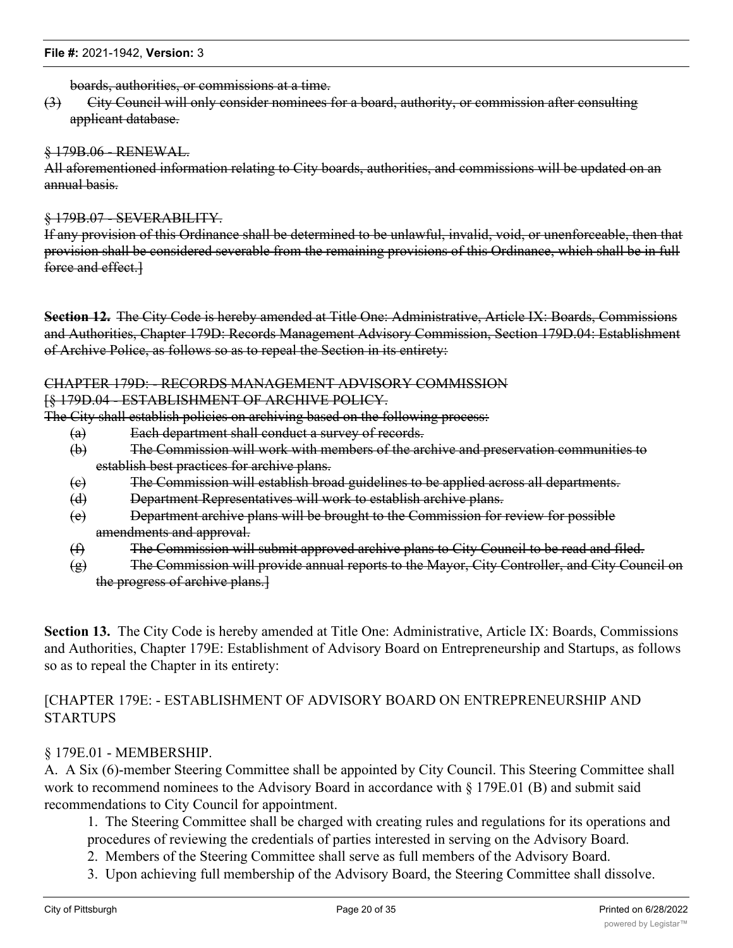boards, authorities, or commissions at a time.

(3) City Council will only consider nominees for a board, authority, or commission after consulting applicant database.

# § 179B.06 - RENEWAL.

All aforementioned information relating to City boards, authorities, and commissions will be updated on an annual basis.

#### § 179B.07 - SEVERABILITY.

If any provision of this Ordinance shall be determined to be unlawful, invalid, void, or unenforceable, then that provision shall be considered severable from the remaining provisions of this Ordinance, which shall be in full force and effect.]

**Section 12.** The City Code is hereby amended at Title One: Administrative, Article IX: Boards, Commissions and Authorities, Chapter 179D: Records Management Advisory Commission, Section 179D.04: Establishment of Archive Police, as follows so as to repeal the Section in its entirety:

#### CHAPTER 179D: - RECORDS MANAGEMENT ADVISORY COMMISSION

#### [§ 179D.04 - ESTABLISHMENT OF ARCHIVE POLICY.

The City shall establish policies on archiving based on the following process:

- (a) Each department shall conduct a survey of records.
- (b) The Commission will work with members of the archive and preservation communities to establish best practices for archive plans.
- (c) The Commission will establish broad guidelines to be applied across all departments.
- (d) Department Representatives will work to establish archive plans.
- (e) Department archive plans will be brought to the Commission for review for possible amendments and approval.
- (f) The Commission will submit approved archive plans to City Council to be read and filed.
- (g) The Commission will provide annual reports to the Mayor, City Controller, and City Council on the progress of archive plans.]

**Section 13.** The City Code is hereby amended at Title One: Administrative, Article IX: Boards, Commissions and Authorities, Chapter 179E: Establishment of Advisory Board on Entrepreneurship and Startups, as follows so as to repeal the Chapter in its entirety:

# [CHAPTER 179E: - ESTABLISHMENT OF ADVISORY BOARD ON ENTREPRENEURSHIP AND **STARTUPS**

# § 179E.01 - MEMBERSHIP.

A. A Six (6)-member Steering Committee shall be appointed by City Council. This Steering Committee shall work to recommend nominees to the Advisory Board in accordance with § 179E.01 (B) and submit said recommendations to City Council for appointment.

1. The Steering Committee shall be charged with creating rules and regulations for its operations and procedures of reviewing the credentials of parties interested in serving on the Advisory Board.

- 2. Members of the Steering Committee shall serve as full members of the Advisory Board.
- 3. Upon achieving full membership of the Advisory Board, the Steering Committee shall dissolve.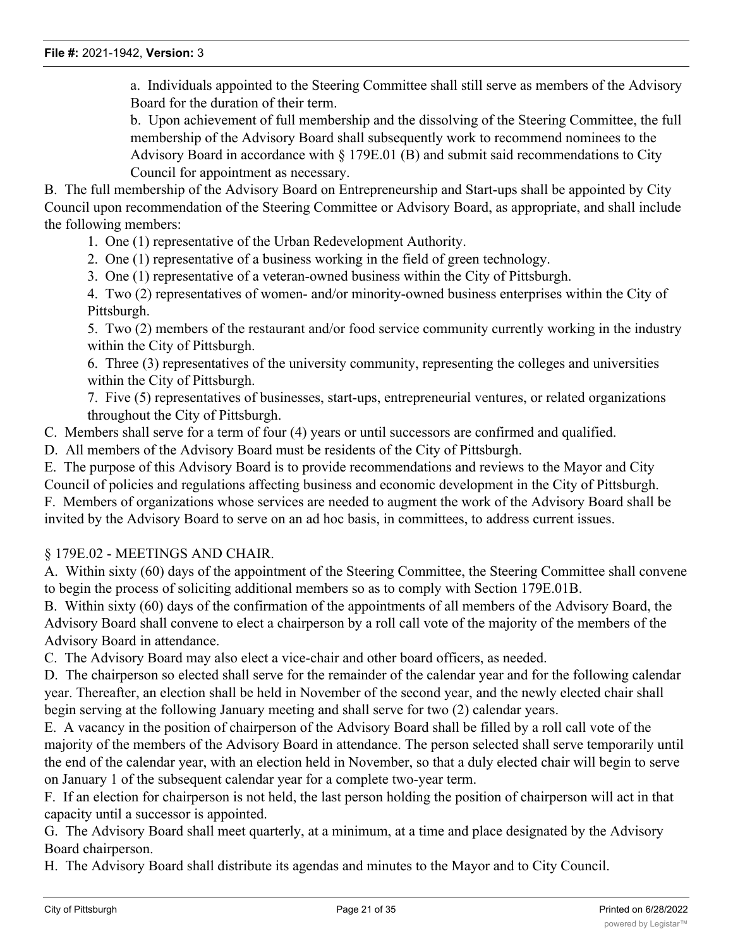a. Individuals appointed to the Steering Committee shall still serve as members of the Advisory Board for the duration of their term.

b. Upon achievement of full membership and the dissolving of the Steering Committee, the full membership of the Advisory Board shall subsequently work to recommend nominees to the Advisory Board in accordance with § 179E.01 (B) and submit said recommendations to City Council for appointment as necessary.

B. The full membership of the Advisory Board on Entrepreneurship and Start-ups shall be appointed by City Council upon recommendation of the Steering Committee or Advisory Board, as appropriate, and shall include the following members:

1. One (1) representative of the Urban Redevelopment Authority.

2. One (1) representative of a business working in the field of green technology.

3. One (1) representative of a veteran-owned business within the City of Pittsburgh.

4. Two (2) representatives of women- and/or minority-owned business enterprises within the City of Pittsburgh.

5. Two (2) members of the restaurant and/or food service community currently working in the industry within the City of Pittsburgh.

6. Three (3) representatives of the university community, representing the colleges and universities within the City of Pittsburgh.

7. Five (5) representatives of businesses, start-ups, entrepreneurial ventures, or related organizations throughout the City of Pittsburgh.

C. Members shall serve for a term of four (4) years or until successors are confirmed and qualified.

D. All members of the Advisory Board must be residents of the City of Pittsburgh.

E. The purpose of this Advisory Board is to provide recommendations and reviews to the Mayor and City Council of policies and regulations affecting business and economic development in the City of Pittsburgh.

F. Members of organizations whose services are needed to augment the work of the Advisory Board shall be invited by the Advisory Board to serve on an ad hoc basis, in committees, to address current issues.

#### § 179E.02 - MEETINGS AND CHAIR.

A. Within sixty (60) days of the appointment of the Steering Committee, the Steering Committee shall convene to begin the process of soliciting additional members so as to comply with Section 179E.01B.

B. Within sixty (60) days of the confirmation of the appointments of all members of the Advisory Board, the Advisory Board shall convene to elect a chairperson by a roll call vote of the majority of the members of the Advisory Board in attendance.

C. The Advisory Board may also elect a vice-chair and other board officers, as needed.

D. The chairperson so elected shall serve for the remainder of the calendar year and for the following calendar year. Thereafter, an election shall be held in November of the second year, and the newly elected chair shall begin serving at the following January meeting and shall serve for two (2) calendar years.

E. A vacancy in the position of chairperson of the Advisory Board shall be filled by a roll call vote of the majority of the members of the Advisory Board in attendance. The person selected shall serve temporarily until the end of the calendar year, with an election held in November, so that a duly elected chair will begin to serve on January 1 of the subsequent calendar year for a complete two-year term.

F. If an election for chairperson is not held, the last person holding the position of chairperson will act in that capacity until a successor is appointed.

G. The Advisory Board shall meet quarterly, at a minimum, at a time and place designated by the Advisory Board chairperson.

H. The Advisory Board shall distribute its agendas and minutes to the Mayor and to City Council.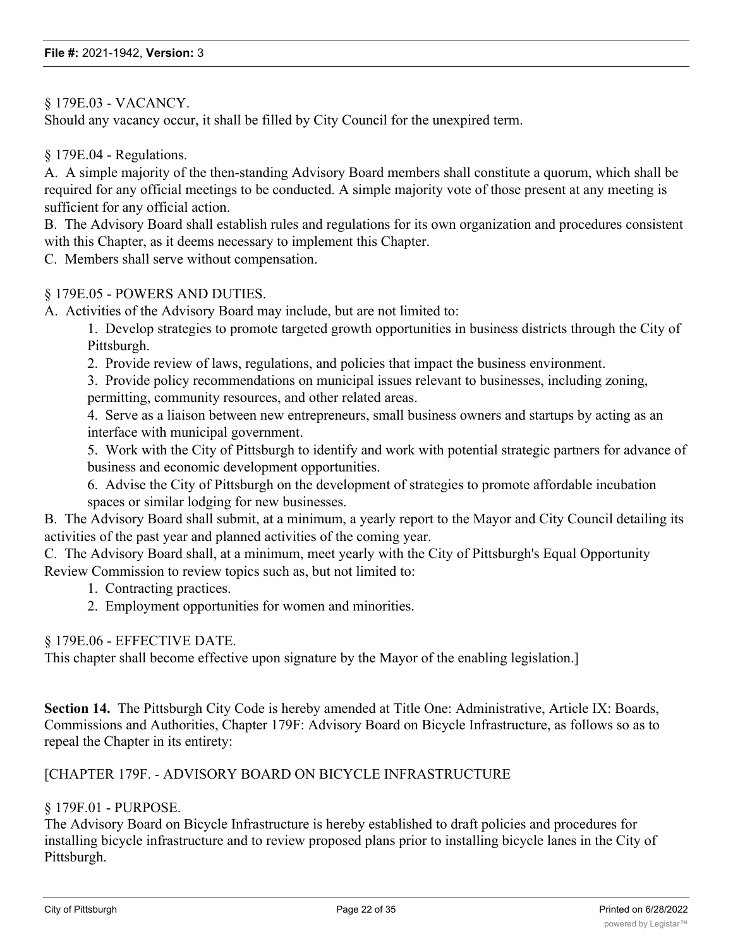#### § 179E.03 - VACANCY.

Should any vacancy occur, it shall be filled by City Council for the unexpired term.

§ 179E.04 - Regulations.

A. A simple majority of the then-standing Advisory Board members shall constitute a quorum, which shall be required for any official meetings to be conducted. A simple majority vote of those present at any meeting is sufficient for any official action.

B. The Advisory Board shall establish rules and regulations for its own organization and procedures consistent with this Chapter, as it deems necessary to implement this Chapter.

C. Members shall serve without compensation.

#### § 179E.05 - POWERS AND DUTIES.

A. Activities of the Advisory Board may include, but are not limited to:

1. Develop strategies to promote targeted growth opportunities in business districts through the City of Pittsburgh.

2. Provide review of laws, regulations, and policies that impact the business environment.

3. Provide policy recommendations on municipal issues relevant to businesses, including zoning, permitting, community resources, and other related areas.

4. Serve as a liaison between new entrepreneurs, small business owners and startups by acting as an interface with municipal government.

5. Work with the City of Pittsburgh to identify and work with potential strategic partners for advance of business and economic development opportunities.

6. Advise the City of Pittsburgh on the development of strategies to promote affordable incubation spaces or similar lodging for new businesses.

B. The Advisory Board shall submit, at a minimum, a yearly report to the Mayor and City Council detailing its activities of the past year and planned activities of the coming year.

C. The Advisory Board shall, at a minimum, meet yearly with the City of Pittsburgh's Equal Opportunity Review Commission to review topics such as, but not limited to:

- 1. Contracting practices.
- 2. Employment opportunities for women and minorities.

#### § 179E.06 - EFFECTIVE DATE.

This chapter shall become effective upon signature by the Mayor of the enabling legislation.]

**Section 14.** The Pittsburgh City Code is hereby amended at Title One: Administrative, Article IX: Boards, Commissions and Authorities, Chapter 179F: Advisory Board on Bicycle Infrastructure, as follows so as to repeal the Chapter in its entirety:

#### [CHAPTER 179F. - ADVISORY BOARD ON BICYCLE INFRASTRUCTURE

#### § 179F.01 - PURPOSE.

The Advisory Board on Bicycle Infrastructure is hereby established to draft policies and procedures for installing bicycle infrastructure and to review proposed plans prior to installing bicycle lanes in the City of Pittsburgh.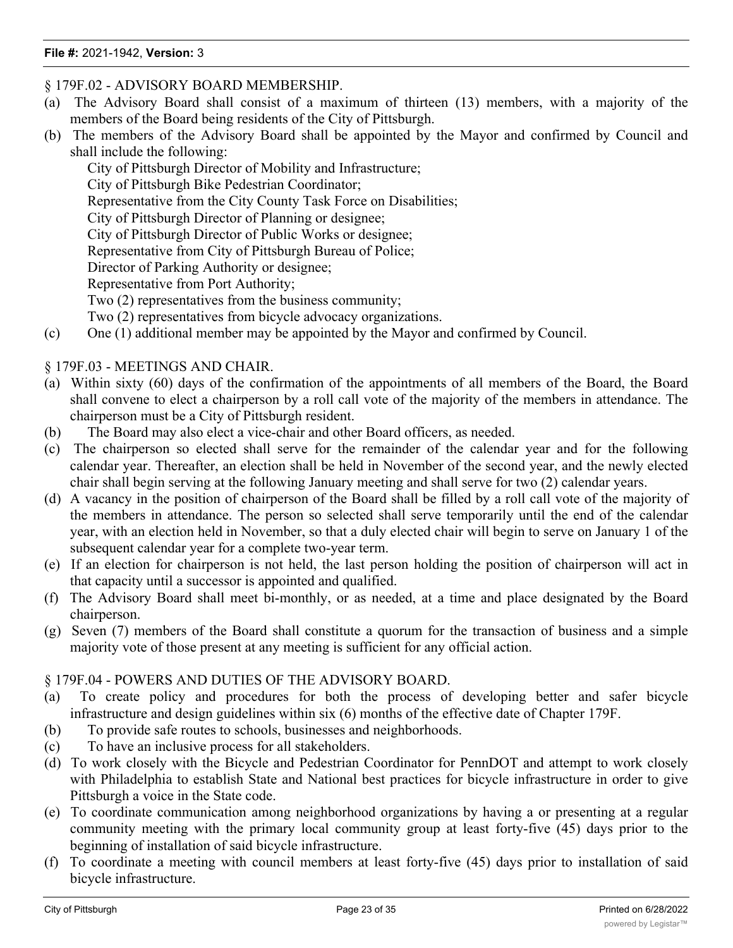#### § 179F.02 - ADVISORY BOARD MEMBERSHIP.

- (a) The Advisory Board shall consist of a maximum of thirteen (13) members, with a majority of the members of the Board being residents of the City of Pittsburgh.
- (b) The members of the Advisory Board shall be appointed by the Mayor and confirmed by Council and shall include the following:

City of Pittsburgh Director of Mobility and Infrastructure; City of Pittsburgh Bike Pedestrian Coordinator; Representative from the City County Task Force on Disabilities; City of Pittsburgh Director of Planning or designee; City of Pittsburgh Director of Public Works or designee; Representative from City of Pittsburgh Bureau of Police; Director of Parking Authority or designee; Representative from Port Authority; Two (2) representatives from the business community;

- Two (2) representatives from bicycle advocacy organizations.
- (c) One (1) additional member may be appointed by the Mayor and confirmed by Council.

#### § 179F.03 - MEETINGS AND CHAIR.

- (a) Within sixty (60) days of the confirmation of the appointments of all members of the Board, the Board shall convene to elect a chairperson by a roll call vote of the majority of the members in attendance. The chairperson must be a City of Pittsburgh resident.
- (b) The Board may also elect a vice-chair and other Board officers, as needed.
- (c) The chairperson so elected shall serve for the remainder of the calendar year and for the following calendar year. Thereafter, an election shall be held in November of the second year, and the newly elected chair shall begin serving at the following January meeting and shall serve for two (2) calendar years.
- (d) A vacancy in the position of chairperson of the Board shall be filled by a roll call vote of the majority of the members in attendance. The person so selected shall serve temporarily until the end of the calendar year, with an election held in November, so that a duly elected chair will begin to serve on January 1 of the subsequent calendar year for a complete two-year term.
- (e) If an election for chairperson is not held, the last person holding the position of chairperson will act in that capacity until a successor is appointed and qualified.
- (f) The Advisory Board shall meet bi-monthly, or as needed, at a time and place designated by the Board chairperson.
- (g) Seven (7) members of the Board shall constitute a quorum for the transaction of business and a simple majority vote of those present at any meeting is sufficient for any official action.

#### § 179F.04 - POWERS AND DUTIES OF THE ADVISORY BOARD.

- (a) To create policy and procedures for both the process of developing better and safer bicycle infrastructure and design guidelines within six (6) months of the effective date of Chapter 179F.
- (b) To provide safe routes to schools, businesses and neighborhoods.
- (c) To have an inclusive process for all stakeholders.
- (d) To work closely with the Bicycle and Pedestrian Coordinator for PennDOT and attempt to work closely with Philadelphia to establish State and National best practices for bicycle infrastructure in order to give Pittsburgh a voice in the State code.
- (e) To coordinate communication among neighborhood organizations by having a or presenting at a regular community meeting with the primary local community group at least forty-five (45) days prior to the beginning of installation of said bicycle infrastructure.
- (f) To coordinate a meeting with council members at least forty-five (45) days prior to installation of said bicycle infrastructure.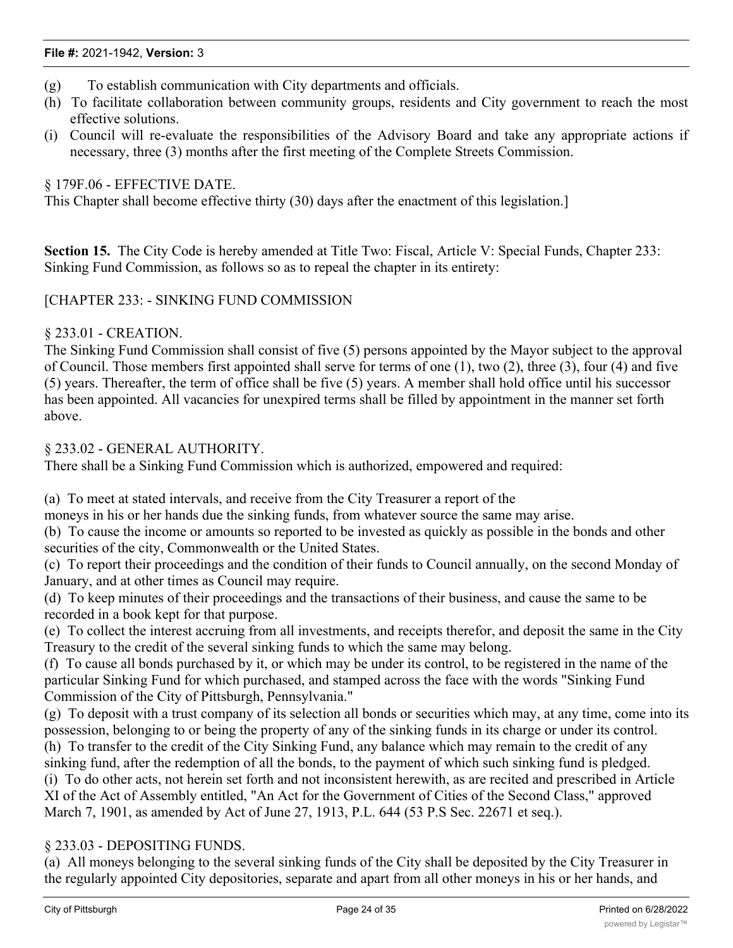- (g) To establish communication with City departments and officials.
- (h) To facilitate collaboration between community groups, residents and City government to reach the most effective solutions.
- (i) Council will re-evaluate the responsibilities of the Advisory Board and take any appropriate actions if necessary, three (3) months after the first meeting of the Complete Streets Commission.

#### § 179F.06 - EFFECTIVE DATE.

This Chapter shall become effective thirty (30) days after the enactment of this legislation.]

**Section 15.** The City Code is hereby amended at Title Two: Fiscal, Article V: Special Funds, Chapter 233: Sinking Fund Commission, as follows so as to repeal the chapter in its entirety:

# [CHAPTER 233: - SINKING FUND COMMISSION

# § 233.01 - CREATION.

The Sinking Fund Commission shall consist of five (5) persons appointed by the Mayor subject to the approval of Council. Those members first appointed shall serve for terms of one (1), two (2), three (3), four (4) and five (5) years. Thereafter, the term of office shall be five (5) years. A member shall hold office until his successor has been appointed. All vacancies for unexpired terms shall be filled by appointment in the manner set forth above.

# § 233.02 - GENERAL AUTHORITY.

There shall be a Sinking Fund Commission which is authorized, empowered and required:

(a) To meet at stated intervals, and receive from the City Treasurer a report of the

moneys in his or her hands due the sinking funds, from whatever source the same may arise.

(b) To cause the income or amounts so reported to be invested as quickly as possible in the bonds and other securities of the city, Commonwealth or the United States.

(c) To report their proceedings and the condition of their funds to Council annually, on the second Monday of January, and at other times as Council may require.

(d) To keep minutes of their proceedings and the transactions of their business, and cause the same to be recorded in a book kept for that purpose.

(e) To collect the interest accruing from all investments, and receipts therefor, and deposit the same in the City Treasury to the credit of the several sinking funds to which the same may belong.

(f) To cause all bonds purchased by it, or which may be under its control, to be registered in the name of the particular Sinking Fund for which purchased, and stamped across the face with the words "Sinking Fund Commission of the City of Pittsburgh, Pennsylvania."

(g) To deposit with a trust company of its selection all bonds or securities which may, at any time, come into its possession, belonging to or being the property of any of the sinking funds in its charge or under its control. (h) To transfer to the credit of the City Sinking Fund, any balance which may remain to the credit of any sinking fund, after the redemption of all the bonds, to the payment of which such sinking fund is pledged. (i) To do other acts, not herein set forth and not inconsistent herewith, as are recited and prescribed in Article XI of the Act of Assembly entitled, "An Act for the Government of Cities of the Second Class," approved March 7, 1901, as amended by Act of June 27, 1913, P.L. 644 (53 P.S Sec. 22671 et seq.).

# § 233.03 - DEPOSITING FUNDS.

(a) All moneys belonging to the several sinking funds of the City shall be deposited by the City Treasurer in the regularly appointed City depositories, separate and apart from all other moneys in his or her hands, and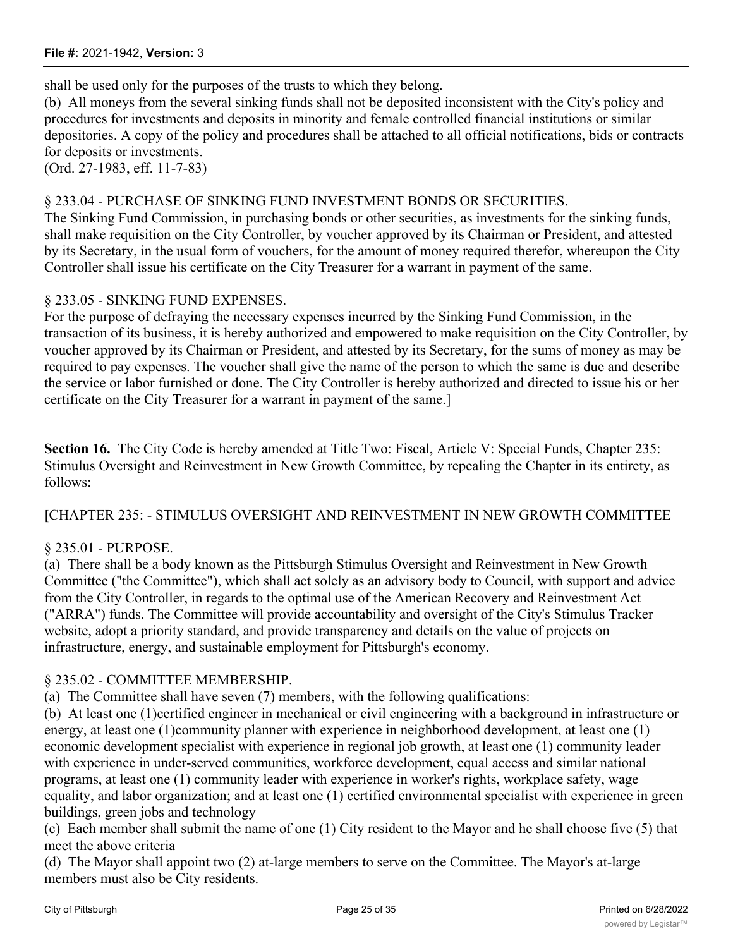shall be used only for the purposes of the trusts to which they belong.

(b) All moneys from the several sinking funds shall not be deposited inconsistent with the City's policy and procedures for investments and deposits in minority and female controlled financial institutions or similar depositories. A copy of the policy and procedures shall be attached to all official notifications, bids or contracts for deposits or investments.

(Ord. 27-1983, eff. 11-7-83)

#### § 233.04 - PURCHASE OF SINKING FUND INVESTMENT BONDS OR SECURITIES.

The Sinking Fund Commission, in purchasing bonds or other securities, as investments for the sinking funds, shall make requisition on the City Controller, by voucher approved by its Chairman or President, and attested by its Secretary, in the usual form of vouchers, for the amount of money required therefor, whereupon the City Controller shall issue his certificate on the City Treasurer for a warrant in payment of the same.

#### § 233.05 - SINKING FUND EXPENSES.

For the purpose of defraying the necessary expenses incurred by the Sinking Fund Commission, in the transaction of its business, it is hereby authorized and empowered to make requisition on the City Controller, by voucher approved by its Chairman or President, and attested by its Secretary, for the sums of money as may be required to pay expenses. The voucher shall give the name of the person to which the same is due and describe the service or labor furnished or done. The City Controller is hereby authorized and directed to issue his or her certificate on the City Treasurer for a warrant in payment of the same.]

**Section 16.** The City Code is hereby amended at Title Two: Fiscal, Article V: Special Funds, Chapter 235: Stimulus Oversight and Reinvestment in New Growth Committee, by repealing the Chapter in its entirety, as follows:

# **[**CHAPTER 235: - STIMULUS OVERSIGHT AND REINVESTMENT IN NEW GROWTH COMMITTEE

#### § 235.01 - PURPOSE.

(a) There shall be a body known as the Pittsburgh Stimulus Oversight and Reinvestment in New Growth Committee ("the Committee"), which shall act solely as an advisory body to Council, with support and advice from the City Controller, in regards to the optimal use of the American Recovery and Reinvestment Act ("ARRA") funds. The Committee will provide accountability and oversight of the City's Stimulus Tracker website, adopt a priority standard, and provide transparency and details on the value of projects on infrastructure, energy, and sustainable employment for Pittsburgh's economy.

#### § 235.02 - COMMITTEE MEMBERSHIP.

(a) The Committee shall have seven (7) members, with the following qualifications:

(b) At least one (1)certified engineer in mechanical or civil engineering with a background in infrastructure or energy, at least one (1)community planner with experience in neighborhood development, at least one (1) economic development specialist with experience in regional job growth, at least one (1) community leader with experience in under-served communities, workforce development, equal access and similar national programs, at least one (1) community leader with experience in worker's rights, workplace safety, wage equality, and labor organization; and at least one (1) certified environmental specialist with experience in green buildings, green jobs and technology

(c) Each member shall submit the name of one (1) City resident to the Mayor and he shall choose five (5) that meet the above criteria

(d) The Mayor shall appoint two (2) at-large members to serve on the Committee. The Mayor's at-large members must also be City residents.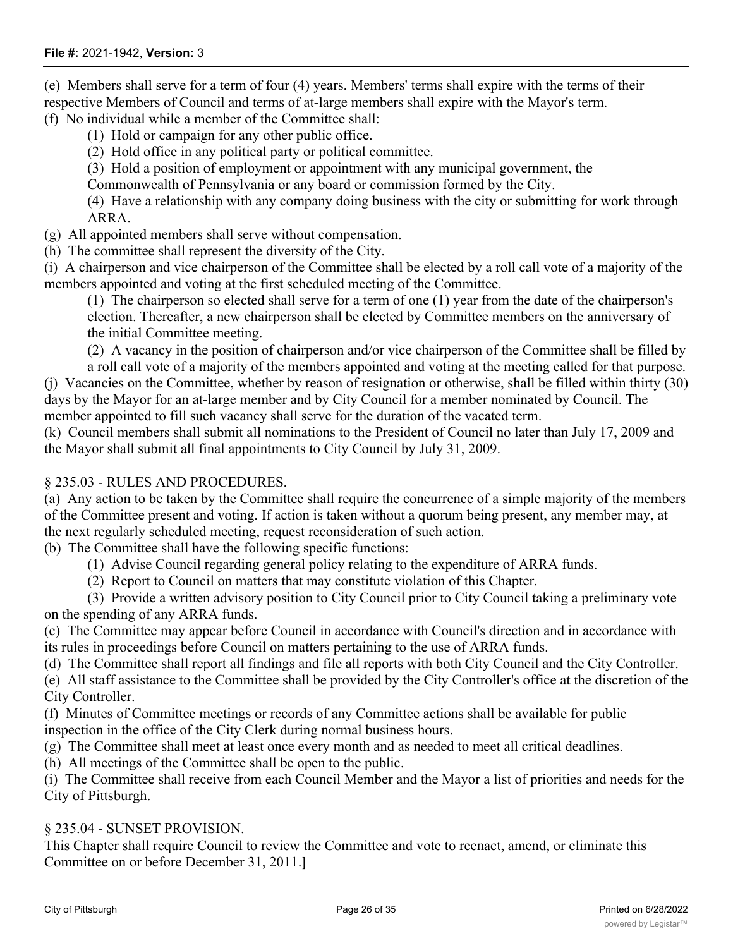(e) Members shall serve for a term of four (4) years. Members' terms shall expire with the terms of their respective Members of Council and terms of at-large members shall expire with the Mayor's term.

(f) No individual while a member of the Committee shall:

- (1) Hold or campaign for any other public office.
- (2) Hold office in any political party or political committee.
- (3) Hold a position of employment or appointment with any municipal government, the

Commonwealth of Pennsylvania or any board or commission formed by the City.

(4) Have a relationship with any company doing business with the city or submitting for work through ARRA.

- (g) All appointed members shall serve without compensation.
- (h) The committee shall represent the diversity of the City.

(i) A chairperson and vice chairperson of the Committee shall be elected by a roll call vote of a majority of the members appointed and voting at the first scheduled meeting of the Committee.

(1) The chairperson so elected shall serve for a term of one (1) year from the date of the chairperson's election. Thereafter, a new chairperson shall be elected by Committee members on the anniversary of the initial Committee meeting.

(2) A vacancy in the position of chairperson and/or vice chairperson of the Committee shall be filled by a roll call vote of a majority of the members appointed and voting at the meeting called for that purpose.

(j) Vacancies on the Committee, whether by reason of resignation or otherwise, shall be filled within thirty (30) days by the Mayor for an at-large member and by City Council for a member nominated by Council. The member appointed to fill such vacancy shall serve for the duration of the vacated term.

(k) Council members shall submit all nominations to the President of Council no later than July 17, 2009 and the Mayor shall submit all final appointments to City Council by July 31, 2009.

#### § 235.03 - RULES AND PROCEDURES.

(a) Any action to be taken by the Committee shall require the concurrence of a simple majority of the members of the Committee present and voting. If action is taken without a quorum being present, any member may, at the next regularly scheduled meeting, request reconsideration of such action.

(b) The Committee shall have the following specific functions:

- (1) Advise Council regarding general policy relating to the expenditure of ARRA funds.
- (2) Report to Council on matters that may constitute violation of this Chapter.

(3) Provide a written advisory position to City Council prior to City Council taking a preliminary vote on the spending of any ARRA funds.

(c) The Committee may appear before Council in accordance with Council's direction and in accordance with its rules in proceedings before Council on matters pertaining to the use of ARRA funds.

(d) The Committee shall report all findings and file all reports with both City Council and the City Controller.

(e) All staff assistance to the Committee shall be provided by the City Controller's office at the discretion of the City Controller.

(f) Minutes of Committee meetings or records of any Committee actions shall be available for public inspection in the office of the City Clerk during normal business hours.

(g) The Committee shall meet at least once every month and as needed to meet all critical deadlines.

(h) All meetings of the Committee shall be open to the public.

(i) The Committee shall receive from each Council Member and the Mayor a list of priorities and needs for the City of Pittsburgh.

# § 235.04 - SUNSET PROVISION.

This Chapter shall require Council to review the Committee and vote to reenact, amend, or eliminate this Committee on or before December 31, 2011.**]**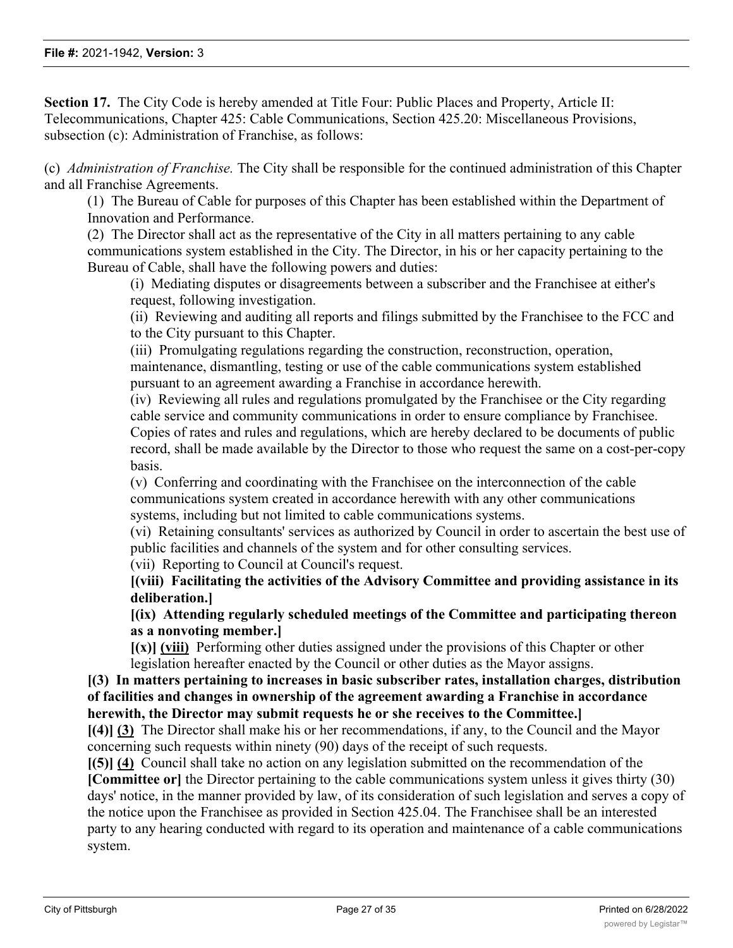**Section 17.** The City Code is hereby amended at Title Four: Public Places and Property, Article II: Telecommunications, Chapter 425: Cable Communications, Section 425.20: Miscellaneous Provisions, subsection (c): Administration of Franchise, as follows:

(c) *Administration of Franchise.* The City shall be responsible for the continued administration of this Chapter and all Franchise Agreements.

(1) The Bureau of Cable for purposes of this Chapter has been established within the Department of Innovation and Performance.

(2) The Director shall act as the representative of the City in all matters pertaining to any cable communications system established in the City. The Director, in his or her capacity pertaining to the Bureau of Cable, shall have the following powers and duties:

(i) Mediating disputes or disagreements between a subscriber and the Franchisee at either's request, following investigation.

(ii) Reviewing and auditing all reports and filings submitted by the Franchisee to the FCC and to the City pursuant to this Chapter.

(iii) Promulgating regulations regarding the construction, reconstruction, operation, maintenance, dismantling, testing or use of the cable communications system established pursuant to an agreement awarding a Franchise in accordance herewith.

(iv) Reviewing all rules and regulations promulgated by the Franchisee or the City regarding cable service and community communications in order to ensure compliance by Franchisee. Copies of rates and rules and regulations, which are hereby declared to be documents of public record, shall be made available by the Director to those who request the same on a cost-per-copy basis.

(v) Conferring and coordinating with the Franchisee on the interconnection of the cable communications system created in accordance herewith with any other communications systems, including but not limited to cable communications systems.

(vi) Retaining consultants' services as authorized by Council in order to ascertain the best use of public facilities and channels of the system and for other consulting services.

(vii) Reporting to Council at Council's request.

**[(viii) Facilitating the activities of the Advisory Committee and providing assistance in its deliberation.]**

**[(ix) Attending regularly scheduled meetings of the Committee and participating thereon as a nonvoting member.]**

**[(x)] (viii)** Performing other duties assigned under the provisions of this Chapter or other legislation hereafter enacted by the Council or other duties as the Mayor assigns.

**[(3) In matters pertaining to increases in basic subscriber rates, installation charges, distribution of facilities and changes in ownership of the agreement awarding a Franchise in accordance herewith, the Director may submit requests he or she receives to the Committee.]**

**[(4)] (3)** The Director shall make his or her recommendations, if any, to the Council and the Mayor concerning such requests within ninety (90) days of the receipt of such requests.

**[(5)] (4)** Council shall take no action on any legislation submitted on the recommendation of the **[Committee or]** the Director pertaining to the cable communications system unless it gives thirty (30) days' notice, in the manner provided by law, of its consideration of such legislation and serves a copy of the notice upon the Franchisee as provided in Section 425.04. The Franchisee shall be an interested party to any hearing conducted with regard to its operation and maintenance of a cable communications system.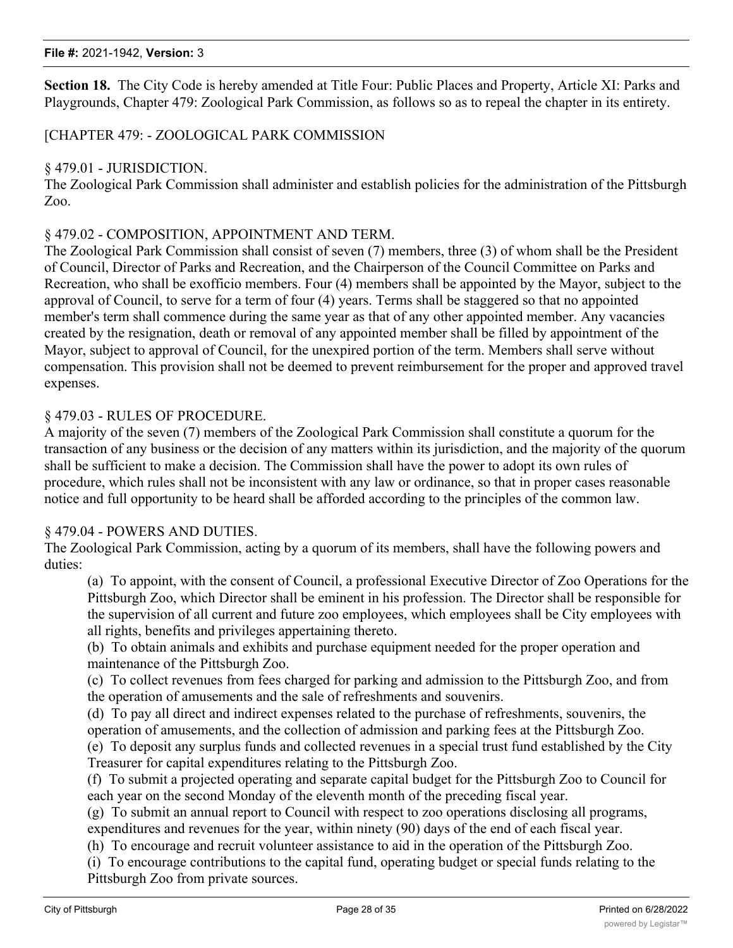**Section 18.** The City Code is hereby amended at Title Four: Public Places and Property, Article XI: Parks and Playgrounds, Chapter 479: Zoological Park Commission, as follows so as to repeal the chapter in its entirety.

[CHAPTER 479: - ZOOLOGICAL PARK COMMISSION

#### § 479.01 - JURISDICTION.

The Zoological Park Commission shall administer and establish policies for the administration of the Pittsburgh Zoo.

#### § 479.02 - COMPOSITION, APPOINTMENT AND TERM.

The Zoological Park Commission shall consist of seven (7) members, three (3) of whom shall be the President of Council, Director of Parks and Recreation, and the Chairperson of the Council Committee on Parks and Recreation, who shall be exofficio members. Four (4) members shall be appointed by the Mayor, subject to the approval of Council, to serve for a term of four (4) years. Terms shall be staggered so that no appointed member's term shall commence during the same year as that of any other appointed member. Any vacancies created by the resignation, death or removal of any appointed member shall be filled by appointment of the Mayor, subject to approval of Council, for the unexpired portion of the term. Members shall serve without compensation. This provision shall not be deemed to prevent reimbursement for the proper and approved travel expenses.

#### § 479.03 - RULES OF PROCEDURE.

A majority of the seven (7) members of the Zoological Park Commission shall constitute a quorum for the transaction of any business or the decision of any matters within its jurisdiction, and the majority of the quorum shall be sufficient to make a decision. The Commission shall have the power to adopt its own rules of procedure, which rules shall not be inconsistent with any law or ordinance, so that in proper cases reasonable notice and full opportunity to be heard shall be afforded according to the principles of the common law.

#### § 479.04 - POWERS AND DUTIES.

The Zoological Park Commission, acting by a quorum of its members, shall have the following powers and duties:

(a) To appoint, with the consent of Council, a professional Executive Director of Zoo Operations for the Pittsburgh Zoo, which Director shall be eminent in his profession. The Director shall be responsible for the supervision of all current and future zoo employees, which employees shall be City employees with all rights, benefits and privileges appertaining thereto.

(b) To obtain animals and exhibits and purchase equipment needed for the proper operation and maintenance of the Pittsburgh Zoo.

(c) To collect revenues from fees charged for parking and admission to the Pittsburgh Zoo, and from the operation of amusements and the sale of refreshments and souvenirs.

(d) To pay all direct and indirect expenses related to the purchase of refreshments, souvenirs, the operation of amusements, and the collection of admission and parking fees at the Pittsburgh Zoo. (e) To deposit any surplus funds and collected revenues in a special trust fund established by the City

Treasurer for capital expenditures relating to the Pittsburgh Zoo.

(f) To submit a projected operating and separate capital budget for the Pittsburgh Zoo to Council for each year on the second Monday of the eleventh month of the preceding fiscal year.

(g) To submit an annual report to Council with respect to zoo operations disclosing all programs,

expenditures and revenues for the year, within ninety (90) days of the end of each fiscal year.

(h) To encourage and recruit volunteer assistance to aid in the operation of the Pittsburgh Zoo. (i) To encourage contributions to the capital fund, operating budget or special funds relating to the

Pittsburgh Zoo from private sources.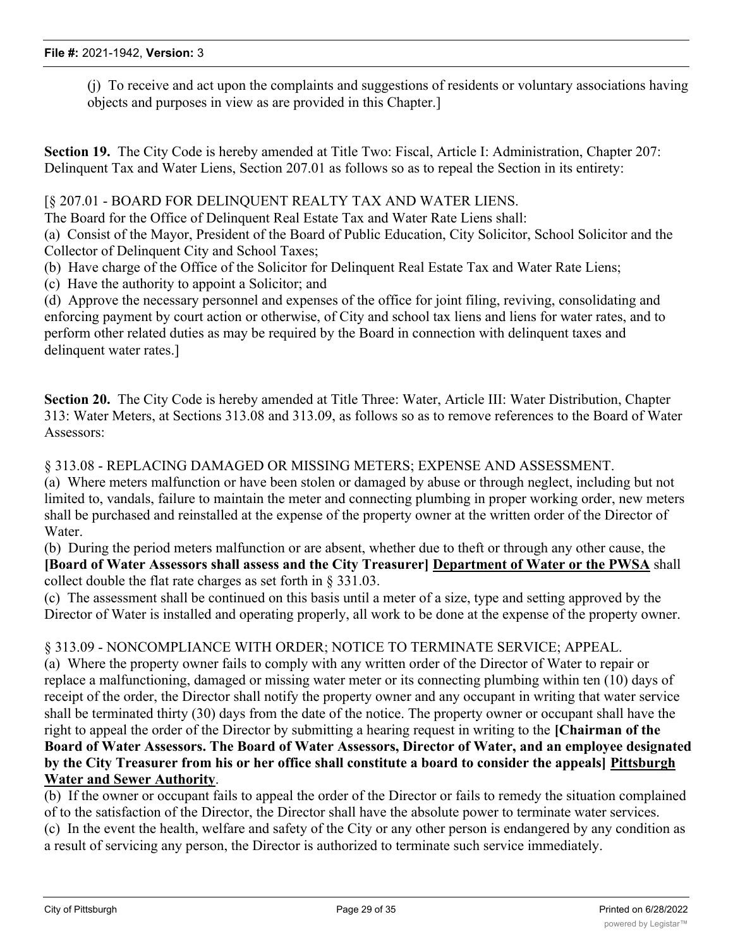(j) To receive and act upon the complaints and suggestions of residents or voluntary associations having objects and purposes in view as are provided in this Chapter.]

**Section 19.** The City Code is hereby amended at Title Two: Fiscal, Article I: Administration, Chapter 207: Delinquent Tax and Water Liens, Section 207.01 as follows so as to repeal the Section in its entirety:

#### [§ 207.01 - BOARD FOR DELINQUENT REALTY TAX AND WATER LIENS.

The Board for the Office of Delinquent Real Estate Tax and Water Rate Liens shall:

(a) Consist of the Mayor, President of the Board of Public Education, City Solicitor, School Solicitor and the Collector of Delinquent City and School Taxes;

(b) Have charge of the Office of the Solicitor for Delinquent Real Estate Tax and Water Rate Liens;

(c) Have the authority to appoint a Solicitor; and

(d) Approve the necessary personnel and expenses of the office for joint filing, reviving, consolidating and enforcing payment by court action or otherwise, of City and school tax liens and liens for water rates, and to perform other related duties as may be required by the Board in connection with delinquent taxes and delinquent water rates.]

**Section 20.** The City Code is hereby amended at Title Three: Water, Article III: Water Distribution, Chapter 313: Water Meters, at Sections 313.08 and 313.09, as follows so as to remove references to the Board of Water Assessors:

#### § 313.08 - REPLACING DAMAGED OR MISSING METERS; EXPENSE AND ASSESSMENT.

(a) Where meters malfunction or have been stolen or damaged by abuse or through neglect, including but not limited to, vandals, failure to maintain the meter and connecting plumbing in proper working order, new meters shall be purchased and reinstalled at the expense of the property owner at the written order of the Director of Water.

(b) During the period meters malfunction or are absent, whether due to theft or through any other cause, the **[Board of Water Assessors shall assess and the City Treasurer] Department of Water or the PWSA** shall collect double the flat rate charges as set forth in § 331.03.

(c) The assessment shall be continued on this basis until a meter of a size, type and setting approved by the Director of Water is installed and operating properly, all work to be done at the expense of the property owner.

#### § 313.09 - NONCOMPLIANCE WITH ORDER; NOTICE TO TERMINATE SERVICE; APPEAL.

(a) Where the property owner fails to comply with any written order of the Director of Water to repair or replace a malfunctioning, damaged or missing water meter or its connecting plumbing within ten (10) days of receipt of the order, the Director shall notify the property owner and any occupant in writing that water service shall be terminated thirty (30) days from the date of the notice. The property owner or occupant shall have the right to appeal the order of the Director by submitting a hearing request in writing to the **[Chairman of the Board of Water Assessors. The Board of Water Assessors, Director of Water, and an employee designated by the City Treasurer from his or her office shall constitute a board to consider the appeals] Pittsburgh Water and Sewer Authority**.

(b) If the owner or occupant fails to appeal the order of the Director or fails to remedy the situation complained of to the satisfaction of the Director, the Director shall have the absolute power to terminate water services. (c) In the event the health, welfare and safety of the City or any other person is endangered by any condition as a result of servicing any person, the Director is authorized to terminate such service immediately.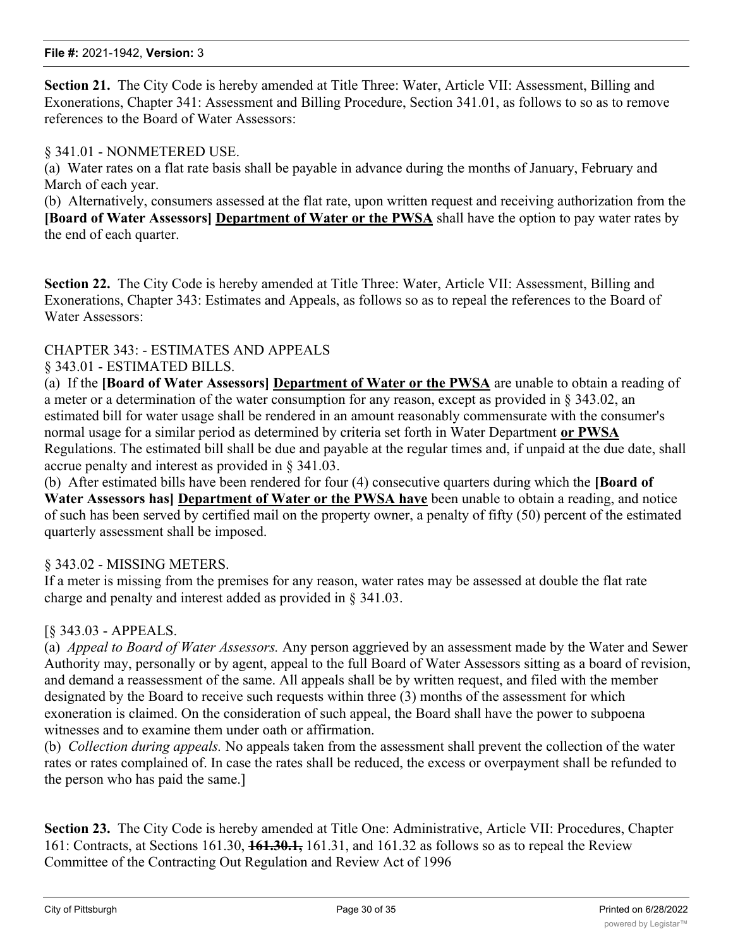**Section 21.** The City Code is hereby amended at Title Three: Water, Article VII: Assessment, Billing and Exonerations, Chapter 341: Assessment and Billing Procedure, Section 341.01, as follows to so as to remove references to the Board of Water Assessors:

#### § 341.01 - NONMETERED USE.

(a) Water rates on a flat rate basis shall be payable in advance during the months of January, February and March of each year.

(b) Alternatively, consumers assessed at the flat rate, upon written request and receiving authorization from the **[Board of Water Assessors] Department of Water or the PWSA** shall have the option to pay water rates by the end of each quarter.

**Section 22.** The City Code is hereby amended at Title Three: Water, Article VII: Assessment, Billing and Exonerations, Chapter 343: Estimates and Appeals, as follows so as to repeal the references to the Board of Water Assessors:

#### CHAPTER 343: - ESTIMATES AND APPEALS

#### § 343.01 - ESTIMATED BILLS.

(a) If the **[Board of Water Assessors] Department of Water or the PWSA** are unable to obtain a reading of a meter or a determination of the water consumption for any reason, except as provided in § 343.02, an estimated bill for water usage shall be rendered in an amount reasonably commensurate with the consumer's normal usage for a similar period as determined by criteria set forth in Water Department **or PWSA** Regulations. The estimated bill shall be due and payable at the regular times and, if unpaid at the due date, shall accrue penalty and interest as provided in § 341.03.

(b) After estimated bills have been rendered for four (4) consecutive quarters during which the **[Board of Water Assessors has] Department of Water or the PWSA have** been unable to obtain a reading, and notice of such has been served by certified mail on the property owner, a penalty of fifty (50) percent of the estimated quarterly assessment shall be imposed.

#### § 343.02 - MISSING METERS.

If a meter is missing from the premises for any reason, water rates may be assessed at double the flat rate charge and penalty and interest added as provided in § 341.03.

#### [§ 343.03 - APPEALS.

(a) *Appeal to Board of Water Assessors.* Any person aggrieved by an assessment made by the Water and Sewer Authority may, personally or by agent, appeal to the full Board of Water Assessors sitting as a board of revision, and demand a reassessment of the same. All appeals shall be by written request, and filed with the member designated by the Board to receive such requests within three (3) months of the assessment for which exoneration is claimed. On the consideration of such appeal, the Board shall have the power to subpoena witnesses and to examine them under oath or affirmation.

(b) *Collection during appeals.* No appeals taken from the assessment shall prevent the collection of the water rates or rates complained of. In case the rates shall be reduced, the excess or overpayment shall be refunded to the person who has paid the same.]

**Section 23.** The City Code is hereby amended at Title One: Administrative, Article VII: Procedures, Chapter 161: Contracts, at Sections 161.30, **161.30.1,** 161.31, and 161.32 as follows so as to repeal the Review Committee of the Contracting Out Regulation and Review Act of 1996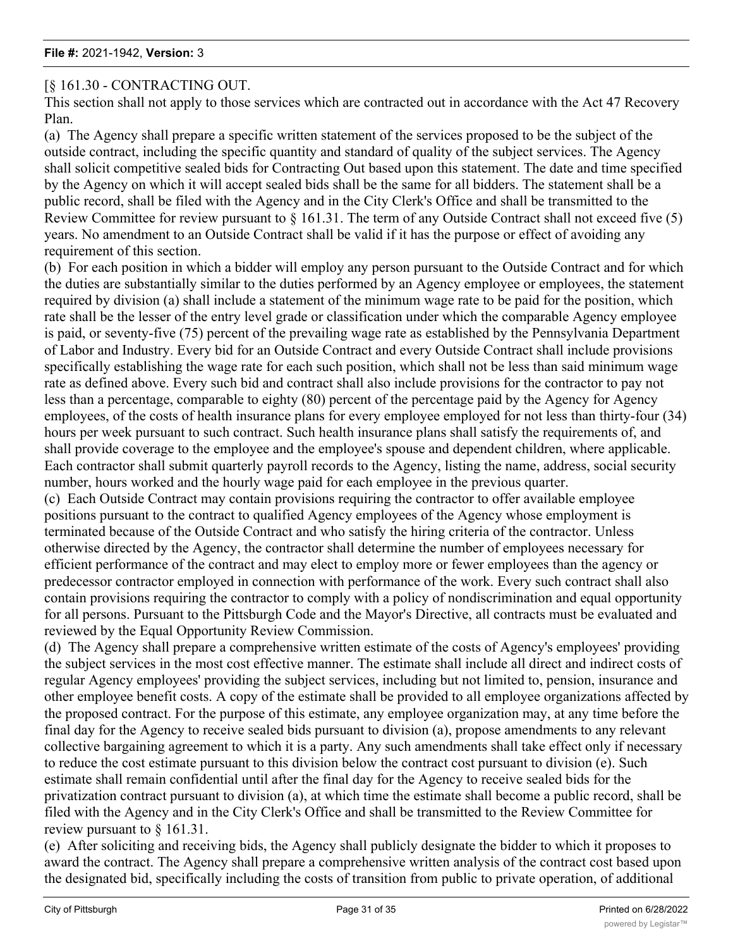#### [§ 161.30 - CONTRACTING OUT.

This section shall not apply to those services which are contracted out in accordance with the Act 47 Recovery Plan.

(a) The Agency shall prepare a specific written statement of the services proposed to be the subject of the outside contract, including the specific quantity and standard of quality of the subject services. The Agency shall solicit competitive sealed bids for Contracting Out based upon this statement. The date and time specified by the Agency on which it will accept sealed bids shall be the same for all bidders. The statement shall be a public record, shall be filed with the Agency and in the City Clerk's Office and shall be transmitted to the Review Committee for review pursuant to  $\S 161.31$ . The term of any Outside Contract shall not exceed five (5) years. No amendment to an Outside Contract shall be valid if it has the purpose or effect of avoiding any requirement of this section.

(b) For each position in which a bidder will employ any person pursuant to the Outside Contract and for which the duties are substantially similar to the duties performed by an Agency employee or employees, the statement required by division (a) shall include a statement of the minimum wage rate to be paid for the position, which rate shall be the lesser of the entry level grade or classification under which the comparable Agency employee is paid, or seventy-five (75) percent of the prevailing wage rate as established by the Pennsylvania Department of Labor and Industry. Every bid for an Outside Contract and every Outside Contract shall include provisions specifically establishing the wage rate for each such position, which shall not be less than said minimum wage rate as defined above. Every such bid and contract shall also include provisions for the contractor to pay not less than a percentage, comparable to eighty (80) percent of the percentage paid by the Agency for Agency employees, of the costs of health insurance plans for every employee employed for not less than thirty-four (34) hours per week pursuant to such contract. Such health insurance plans shall satisfy the requirements of, and shall provide coverage to the employee and the employee's spouse and dependent children, where applicable. Each contractor shall submit quarterly payroll records to the Agency, listing the name, address, social security number, hours worked and the hourly wage paid for each employee in the previous quarter.

(c) Each Outside Contract may contain provisions requiring the contractor to offer available employee positions pursuant to the contract to qualified Agency employees of the Agency whose employment is terminated because of the Outside Contract and who satisfy the hiring criteria of the contractor. Unless otherwise directed by the Agency, the contractor shall determine the number of employees necessary for efficient performance of the contract and may elect to employ more or fewer employees than the agency or predecessor contractor employed in connection with performance of the work. Every such contract shall also contain provisions requiring the contractor to comply with a policy of nondiscrimination and equal opportunity for all persons. Pursuant to the Pittsburgh Code and the Mayor's Directive, all contracts must be evaluated and reviewed by the Equal Opportunity Review Commission.

(d) The Agency shall prepare a comprehensive written estimate of the costs of Agency's employees' providing the subject services in the most cost effective manner. The estimate shall include all direct and indirect costs of regular Agency employees' providing the subject services, including but not limited to, pension, insurance and other employee benefit costs. A copy of the estimate shall be provided to all employee organizations affected by the proposed contract. For the purpose of this estimate, any employee organization may, at any time before the final day for the Agency to receive sealed bids pursuant to division (a), propose amendments to any relevant collective bargaining agreement to which it is a party. Any such amendments shall take effect only if necessary to reduce the cost estimate pursuant to this division below the contract cost pursuant to division (e). Such estimate shall remain confidential until after the final day for the Agency to receive sealed bids for the privatization contract pursuant to division (a), at which time the estimate shall become a public record, shall be filed with the Agency and in the City Clerk's Office and shall be transmitted to the Review Committee for review pursuant to § 161.31.

(e) After soliciting and receiving bids, the Agency shall publicly designate the bidder to which it proposes to award the contract. The Agency shall prepare a comprehensive written analysis of the contract cost based upon the designated bid, specifically including the costs of transition from public to private operation, of additional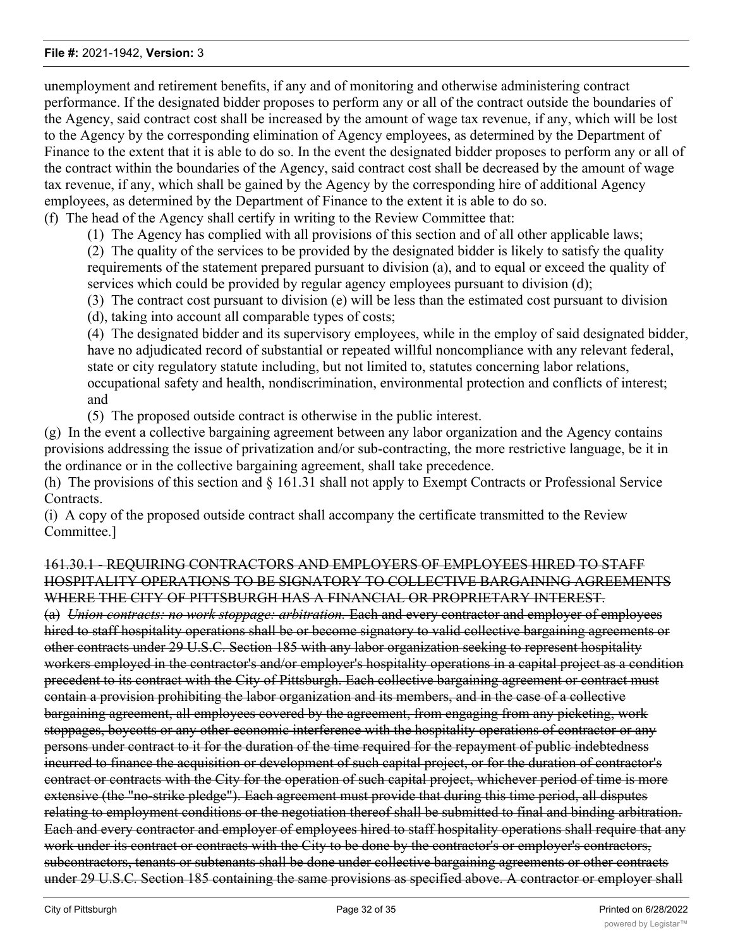unemployment and retirement benefits, if any and of monitoring and otherwise administering contract performance. If the designated bidder proposes to perform any or all of the contract outside the boundaries of the Agency, said contract cost shall be increased by the amount of wage tax revenue, if any, which will be lost to the Agency by the corresponding elimination of Agency employees, as determined by the Department of Finance to the extent that it is able to do so. In the event the designated bidder proposes to perform any or all of the contract within the boundaries of the Agency, said contract cost shall be decreased by the amount of wage tax revenue, if any, which shall be gained by the Agency by the corresponding hire of additional Agency employees, as determined by the Department of Finance to the extent it is able to do so.

(f) The head of the Agency shall certify in writing to the Review Committee that:

(1) The Agency has complied with all provisions of this section and of all other applicable laws;

(2) The quality of the services to be provided by the designated bidder is likely to satisfy the quality requirements of the statement prepared pursuant to division (a), and to equal or exceed the quality of services which could be provided by regular agency employees pursuant to division (d);

(3) The contract cost pursuant to division (e) will be less than the estimated cost pursuant to division

(d), taking into account all comparable types of costs;

(4) The designated bidder and its supervisory employees, while in the employ of said designated bidder, have no adjudicated record of substantial or repeated willful noncompliance with any relevant federal, state or city regulatory statute including, but not limited to, statutes concerning labor relations, occupational safety and health, nondiscrimination, environmental protection and conflicts of interest; and

(5) The proposed outside contract is otherwise in the public interest.

(g) In the event a collective bargaining agreement between any labor organization and the Agency contains provisions addressing the issue of privatization and/or sub-contracting, the more restrictive language, be it in the ordinance or in the collective bargaining agreement, shall take precedence.

(h) The provisions of this section and § 161.31 shall not apply to Exempt Contracts or Professional Service Contracts.

(i) A copy of the proposed outside contract shall accompany the certificate transmitted to the Review Committee.]

#### 161.30.1 - REQUIRING CONTRACTORS AND EMPLOYERS OF EMPLOYEES HIRED TO STAFF HOSPITALITY OPERATIONS TO BE SIGNATORY TO COLLECTIVE BARGAINING AGREEMENTS WHERE THE CITY OF PITTSBURGH HAS A FINANCIAL OR PROPRIETARY INTEREST.

(a) *Union contracts: no work stoppage: arbitration.* Each and every contractor and employer of employees hired to staff hospitality operations shall be or become signatory to valid collective bargaining agreements or other contracts under 29 U.S.C. Section 185 with any labor organization seeking to represent hospitality workers employed in the contractor's and/or employer's hospitality operations in a capital project as a condition precedent to its contract with the City of Pittsburgh. Each collective bargaining agreement or contract must contain a provision prohibiting the labor organization and its members, and in the case of a collective bargaining agreement, all employees covered by the agreement, from engaging from any picketing, work stoppages, boycotts or any other economic interference with the hospitality operations of contractor or any persons under contract to it for the duration of the time required for the repayment of public indebtedness incurred to finance the acquisition or development of such capital project, or for the duration of contractor's contract or contracts with the City for the operation of such capital project, whichever period of time is more extensive (the "no-strike pledge"). Each agreement must provide that during this time period, all disputes relating to employment conditions or the negotiation thereof shall be submitted to final and binding arbitration. Each and every contractor and employer of employees hired to staff hospitality operations shall require that any work under its contract or contracts with the City to be done by the contractor's or employer's contractors, subcontractors, tenants or subtenants shall be done under collective bargaining agreements or other contracts under 29 U.S.C. Section 185 containing the same provisions as specified above. A contractor or employer shall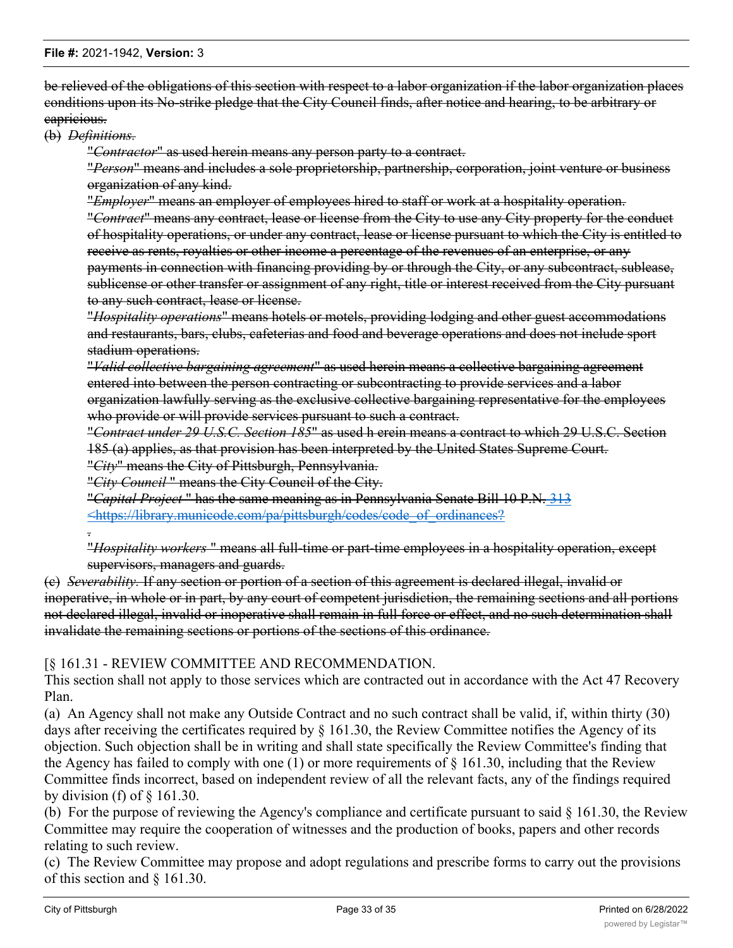be relieved of the obligations of this section with respect to a labor organization if the labor organization places conditions upon its No-strike pledge that the City Council finds, after notice and hearing, to be arbitrary or capricious.

(b) *Definitions.*

"*Contractor*" as used herein means any person party to a contract.

"*Person*" means and includes a sole proprietorship, partnership, corporation, joint venture or business organization of any kind.

"*Employer*" means an employer of employees hired to staff or work at a hospitality operation. "*Contract*" means any contract, lease or license from the City to use any City property for the conduct of hospitality operations, or under any contract, lease or license pursuant to which the City is entitled to receive as rents, royalties or other income a percentage of the revenues of an enterprise, or any payments in connection with financing providing by or through the City, or any subcontract, sublease, sublicense or other transfer or assignment of any right, title or interest received from the City pursuant to any such contract, lease or license.

"*Hospitality operations*" means hotels or motels, providing lodging and other guest accommodations and restaurants, bars, clubs, cafeterias and food and beverage operations and does not include sport stadium operations.

"*Valid collective bargaining agreement*" as used herein means a collective bargaining agreement entered into between the person contracting or subcontracting to provide services and a labor organization lawfully serving as the exclusive collective bargaining representative for the employees who provide or will provide services pursuant to such a contract.

"*Contract under 29 U.S.C. Section 185*" as used h erein means a contract to which 29 U.S.C. Section 185 (a) applies, as that provision has been interpreted by the United States Supreme Court.

"*City*" means the City of Pittsburgh, Pennsylvania.

"*City Council* " means the City Council of the City.

"*Capital Project* " has the same meaning as in Pennsylvania Senate Bill 10 P.N. 313 <https://library.municode.com/pa/pittsburgh/codes/code\_of\_ordinances?

.

"*Hospitality workers* " means all full-time or part-time employees in a hospitality operation, except supervisors, managers and guards.

(c) *Severability.* If any section or portion of a section of this agreement is declared illegal, invalid or inoperative, in whole or in part, by any court of competent jurisdiction, the remaining sections and all portions not declared illegal, invalid or inoperative shall remain in full force or effect, and no such determination shall invalidate the remaining sections or portions of the sections of this ordinance.

[§ 161.31 - REVIEW COMMITTEE AND RECOMMENDATION.

This section shall not apply to those services which are contracted out in accordance with the Act 47 Recovery Plan.

(a) An Agency shall not make any Outside Contract and no such contract shall be valid, if, within thirty (30) days after receiving the certificates required by § 161.30, the Review Committee notifies the Agency of its objection. Such objection shall be in writing and shall state specifically the Review Committee's finding that the Agency has failed to comply with one  $(1)$  or more requirements of § 161.30, including that the Review Committee finds incorrect, based on independent review of all the relevant facts, any of the findings required by division (f) of  $\S$  161.30.

(b) For the purpose of reviewing the Agency's compliance and certificate pursuant to said § 161.30, the Review Committee may require the cooperation of witnesses and the production of books, papers and other records relating to such review.

(c) The Review Committee may propose and adopt regulations and prescribe forms to carry out the provisions of this section and § 161.30.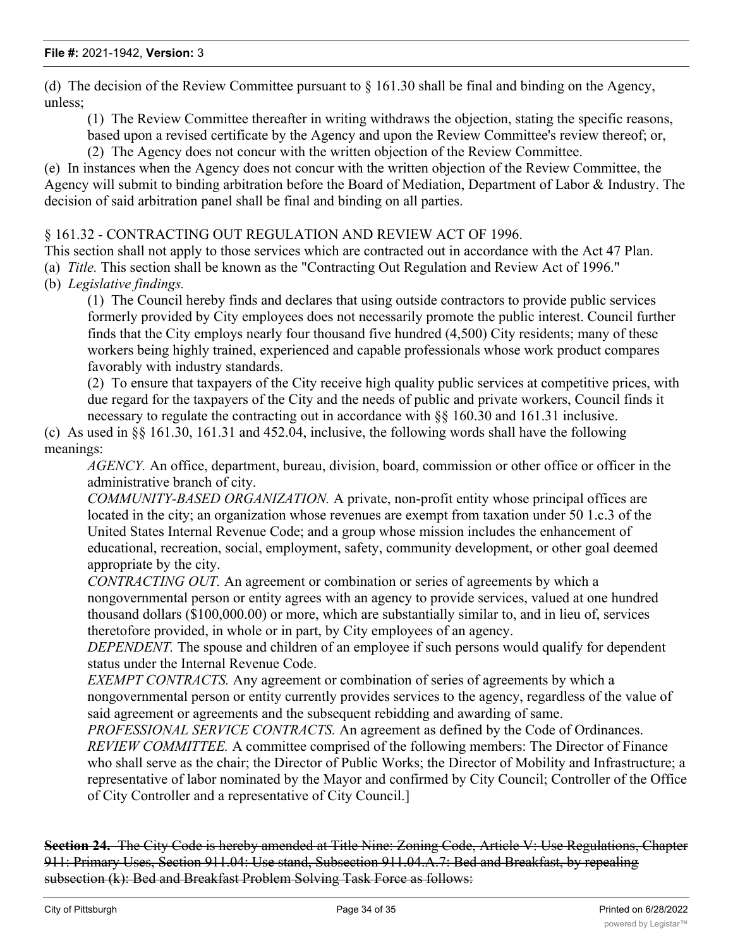(d) The decision of the Review Committee pursuant to § 161.30 shall be final and binding on the Agency, unless;

(1) The Review Committee thereafter in writing withdraws the objection, stating the specific reasons,

- based upon a revised certificate by the Agency and upon the Review Committee's review thereof; or,
- (2) The Agency does not concur with the written objection of the Review Committee.

(e) In instances when the Agency does not concur with the written objection of the Review Committee, the Agency will submit to binding arbitration before the Board of Mediation, Department of Labor & Industry. The decision of said arbitration panel shall be final and binding on all parties.

#### § 161.32 - CONTRACTING OUT REGULATION AND REVIEW ACT OF 1996.

This section shall not apply to those services which are contracted out in accordance with the Act 47 Plan.

(a) *Title.* This section shall be known as the "Contracting Out Regulation and Review Act of 1996."

(b) *Legislative findings.*

(1) The Council hereby finds and declares that using outside contractors to provide public services formerly provided by City employees does not necessarily promote the public interest. Council further finds that the City employs nearly four thousand five hundred (4,500) City residents; many of these workers being highly trained, experienced and capable professionals whose work product compares favorably with industry standards.

(2) To ensure that taxpayers of the City receive high quality public services at competitive prices, with due regard for the taxpayers of the City and the needs of public and private workers, Council finds it necessary to regulate the contracting out in accordance with §§ 160.30 and 161.31 inclusive.

(c) As used in §§ 161.30, 161.31 and 452.04, inclusive, the following words shall have the following meanings:

*AGENCY.* An office, department, bureau, division, board, commission or other office or officer in the administrative branch of city.

*COMMUNITY-BASED ORGANIZATION.* A private, non-profit entity whose principal offices are located in the city; an organization whose revenues are exempt from taxation under 50 1.c.3 of the United States Internal Revenue Code; and a group whose mission includes the enhancement of educational, recreation, social, employment, safety, community development, or other goal deemed appropriate by the city.

*CONTRACTING OUT.* An agreement or combination or series of agreements by which a nongovernmental person or entity agrees with an agency to provide services, valued at one hundred thousand dollars (\$100,000.00) or more, which are substantially similar to, and in lieu of, services theretofore provided, in whole or in part, by City employees of an agency.

*DEPENDENT.* The spouse and children of an employee if such persons would qualify for dependent status under the Internal Revenue Code.

*EXEMPT CONTRACTS.* Any agreement or combination of series of agreements by which a nongovernmental person or entity currently provides services to the agency, regardless of the value of said agreement or agreements and the subsequent rebidding and awarding of same.

*PROFESSIONAL SERVICE CONTRACTS.* An agreement as defined by the Code of Ordinances. *REVIEW COMMITTEE.* A committee comprised of the following members: The Director of Finance who shall serve as the chair; the Director of Public Works; the Director of Mobility and Infrastructure; a representative of labor nominated by the Mayor and confirmed by City Council; Controller of the Office of City Controller and a representative of City Council.]

**Section 24.** The City Code is hereby amended at Title Nine: Zoning Code, Article V: Use Regulations, Chapter 911: Primary Uses, Section 911.04: Use stand, Subsection 911.04.A.7: Bed and Breakfast, by repealing subsection (k): Bed and Breakfast Problem Solving Task Force as follows: